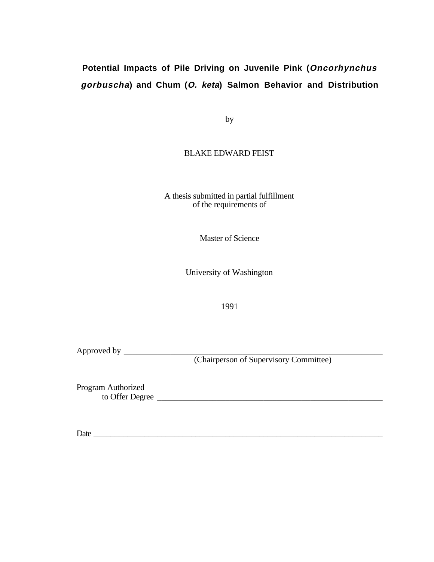# **Potential Impacts of Pile Driving on Juvenile Pink (Oncorhynchus gorbuscha) and Chum (O. keta) Salmon Behavior and Distribution**

by

## BLAKE EDWARD FEIST

A thesis submitted in partial fulfillment of the requirements of

Master of Science

University of Washington

1991

Approved by \_\_\_\_\_\_\_\_\_\_\_\_\_\_\_\_\_\_\_\_\_\_\_\_\_\_\_\_\_\_\_\_\_\_\_\_\_\_\_\_\_\_\_\_\_\_\_\_\_\_\_\_\_\_\_\_\_\_\_\_\_

(Chairperson of Supervisory Committee)

Program Authorized to Offer Degree

Date the contract of the contract of the contract of the contract of the contract of the contract of the contract of the contract of the contract of the contract of the contract of the contract of the contract of the contr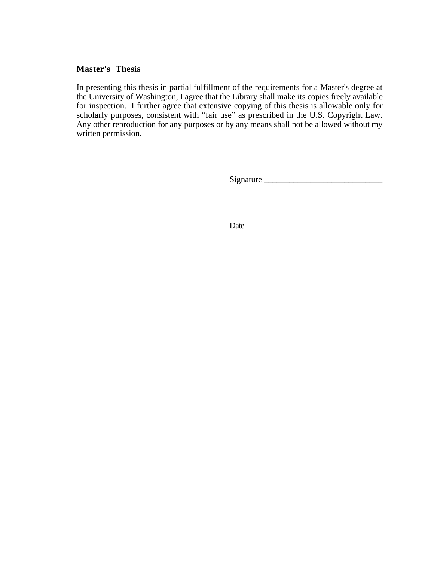## **Master's Thesis**

In presenting this thesis in partial fulfillment of the requirements for a Master's degree at the University of Washington, I agree that the Library shall make its copies freely available for inspection. I further agree that extensive copying of this thesis is allowable only for scholarly purposes, consistent with "fair use" as prescribed in the U.S. Copyright Law. Any other reproduction for any purposes or by any means shall not be allowed without my written permission.

Signature \_\_\_\_\_\_\_\_\_\_\_\_\_\_\_\_\_\_\_\_\_\_\_\_\_\_\_\_

Date \_\_\_\_\_\_\_\_\_\_\_\_\_\_\_\_\_\_\_\_\_\_\_\_\_\_\_\_\_\_\_\_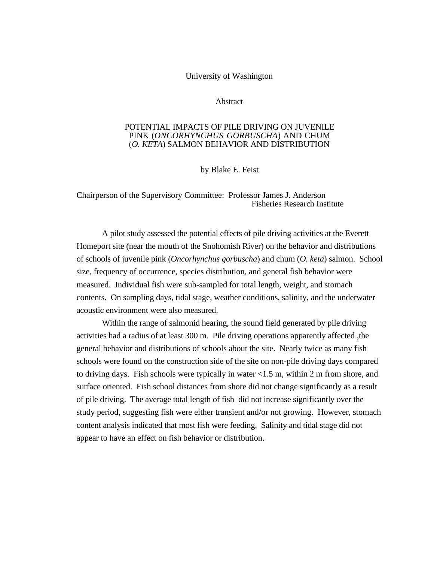## University of Washington

## **Abstract**

## POTENTIAL IMPACTS OF PILE DRIVING ON JUVENILE PINK (*ONCORHYNCHUS GORBUSCHA*) AND CHUM (*O. KETA*) SALMON BEHAVIOR AND DISTRIBUTION

by Blake E. Feist

Chairperson of the Supervisory Committee: Professor James J. Anderson Fisheries Research Institute

A pilot study assessed the potential effects of pile driving activities at the Everett Homeport site (near the mouth of the Snohomish River) on the behavior and distributions of schools of juvenile pink (*Oncorhynchus gorbuscha*) and chum (*O. keta*) salmon. School size, frequency of occurrence, species distribution, and general fish behavior were measured. Individual fish were sub-sampled for total length, weight, and stomach contents. On sampling days, tidal stage, weather conditions, salinity, and the underwater acoustic environment were also measured.

Within the range of salmonid hearing, the sound field generated by pile driving activities had a radius of at least 300 m. Pile driving operations apparently affected ,the general behavior and distributions of schools about the site. Nearly twice as many fish schools were found on the construction side of the site on non-pile driving days compared to driving days. Fish schools were typically in water <1.5 m, within 2 m from shore, and surface oriented. Fish school distances from shore did not change significantly as a result of pile driving. The average total length of fish did not increase significantly over the study period, suggesting fish were either transient and/or not growing. However, stomach content analysis indicated that most fish were feeding. Salinity and tidal stage did not appear to have an effect on fish behavior or distribution.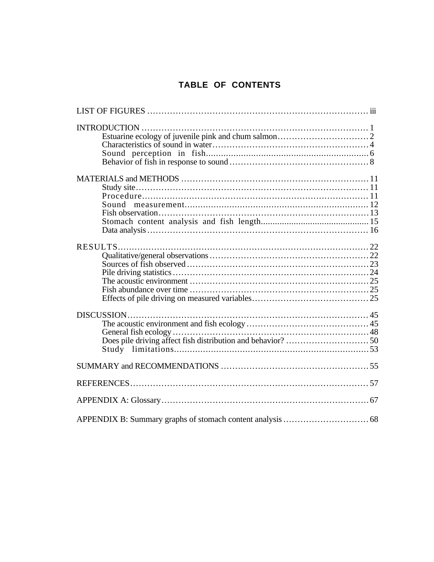# TABLE OF CONTENTS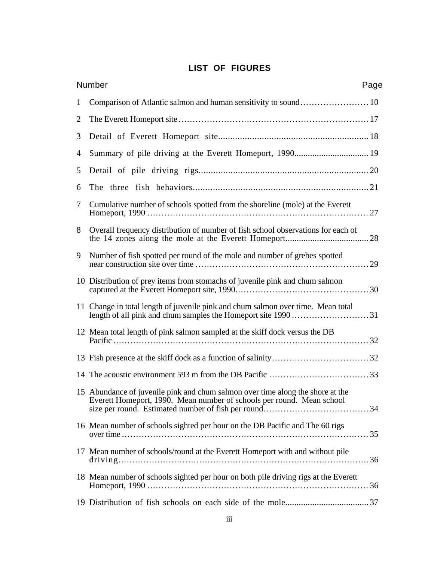# **LIST OF FIGURES**

|                | <b>Number</b><br>Page                                                                                                                                   |
|----------------|---------------------------------------------------------------------------------------------------------------------------------------------------------|
| $\mathbf{1}$   | Comparison of Atlantic salmon and human sensitivity to sound 10                                                                                         |
| $\overline{2}$ |                                                                                                                                                         |
| 3              |                                                                                                                                                         |
| 4              |                                                                                                                                                         |
| 5              |                                                                                                                                                         |
| 6              |                                                                                                                                                         |
| 7              | Cumulative number of schools spotted from the shoreline (mole) at the Everett                                                                           |
| 8              | Overall frequency distribution of number of fish school observations for each of                                                                        |
| 9              | Number of fish spotted per round of the mole and number of grebes spotted                                                                               |
|                | 10 Distribution of prey items from stomachs of juvenile pink and chum salmon                                                                            |
|                | 11 Change in total length of juvenile pink and chum salmon over time. Mean total<br>length of all pink and chum samples the Homeport site 199031        |
|                | 12 Mean total length of pink salmon sampled at the skiff dock versus the DB                                                                             |
|                |                                                                                                                                                         |
|                |                                                                                                                                                         |
|                | 15 Abundance of juvenile pink and chum salmon over time along the shore at the<br>Everett Homeport, 1990. Mean number of schools per round. Mean school |
|                | 16 Mean number of schools sighted per hour on the DB Pacific and The 60 rigs                                                                            |
|                | 17 Mean number of schools/round at the Everett Homeport with and without pile                                                                           |
|                | 18 Mean number of schools sighted per hour on both pile driving rigs at the Everett                                                                     |
|                |                                                                                                                                                         |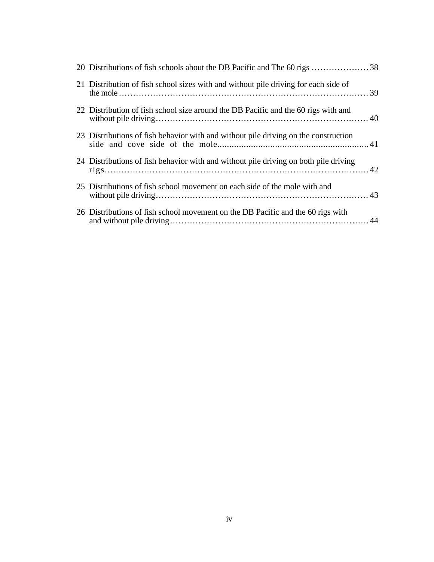| 21 Distribution of fish school sizes with and without pile driving for each side of  |  |
|--------------------------------------------------------------------------------------|--|
| 22 Distribution of fish school size around the DB Pacific and the 60 rigs with and   |  |
| 23 Distributions of fish behavior with and without pile driving on the construction  |  |
| 24 Distributions of fish behavior with and without pile driving on both pile driving |  |
| 25 Distributions of fish school movement on each side of the mole with and           |  |
| 26 Distributions of fish school movement on the DB Pacific and the 60 rigs with      |  |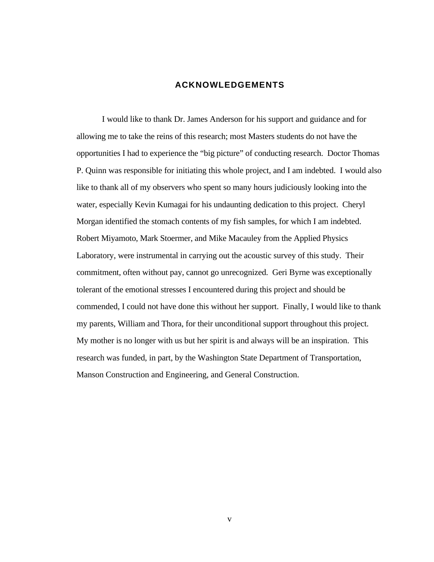## **ACKNOWLEDGEMENTS**

I would like to thank Dr. James Anderson for his support and guidance and for allowing me to take the reins of this research; most Masters students do not have the opportunities I had to experience the "big picture" of conducting research. Doctor Thomas P. Quinn was responsible for initiating this whole project, and I am indebted. I would also like to thank all of my observers who spent so many hours judiciously looking into the water, especially Kevin Kumagai for his undaunting dedication to this project. Cheryl Morgan identified the stomach contents of my fish samples, for which I am indebted. Robert Miyamoto, Mark Stoermer, and Mike Macauley from the Applied Physics Laboratory, were instrumental in carrying out the acoustic survey of this study. Their commitment, often without pay, cannot go unrecognized. Geri Byrne was exceptionally tolerant of the emotional stresses I encountered during this project and should be commended, I could not have done this without her support. Finally, I would like to thank my parents, William and Thora, for their unconditional support throughout this project. My mother is no longer with us but her spirit is and always will be an inspiration. This research was funded, in part, by the Washington State Department of Transportation, Manson Construction and Engineering, and General Construction.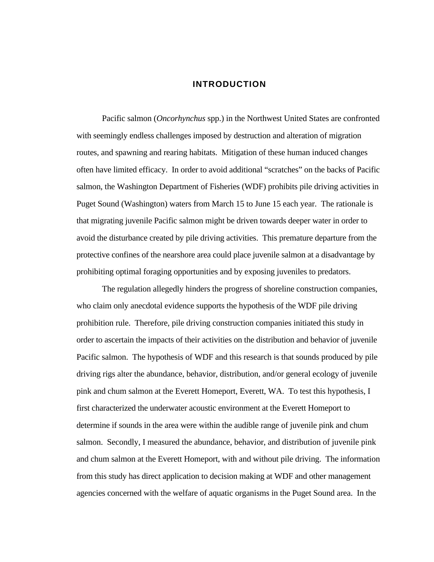## **INTRODUCTION**

Pacific salmon (*Oncorhynchus* spp.) in the Northwest United States are confronted with seemingly endless challenges imposed by destruction and alteration of migration routes, and spawning and rearing habitats. Mitigation of these human induced changes often have limited efficacy. In order to avoid additional "scratches" on the backs of Pacific salmon, the Washington Department of Fisheries (WDF) prohibits pile driving activities in Puget Sound (Washington) waters from March 15 to June 15 each year. The rationale is that migrating juvenile Pacific salmon might be driven towards deeper water in order to avoid the disturbance created by pile driving activities. This premature departure from the protective confines of the nearshore area could place juvenile salmon at a disadvantage by prohibiting optimal foraging opportunities and by exposing juveniles to predators.

The regulation allegedly hinders the progress of shoreline construction companies, who claim only anecdotal evidence supports the hypothesis of the WDF pile driving prohibition rule. Therefore, pile driving construction companies initiated this study in order to ascertain the impacts of their activities on the distribution and behavior of juvenile Pacific salmon. The hypothesis of WDF and this research is that sounds produced by pile driving rigs alter the abundance, behavior, distribution, and/or general ecology of juvenile pink and chum salmon at the Everett Homeport, Everett, WA. To test this hypothesis, I first characterized the underwater acoustic environment at the Everett Homeport to determine if sounds in the area were within the audible range of juvenile pink and chum salmon. Secondly, I measured the abundance, behavior, and distribution of juvenile pink and chum salmon at the Everett Homeport, with and without pile driving. The information from this study has direct application to decision making at WDF and other management agencies concerned with the welfare of aquatic organisms in the Puget Sound area. In the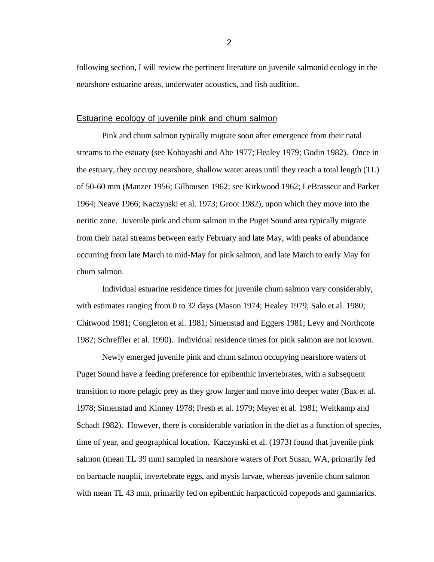following section, I will review the pertinent literature on juvenile salmonid ecology in the nearshore estuarine areas, underwater acoustics, and fish audition.

## Estuarine ecology of juvenile pink and chum salmon

Pink and chum salmon typically migrate soon after emergence from their natal streams to the estuary (see Kobayashi and Abe 1977; Healey 1979; Godin 1982). Once in the estuary, they occupy nearshore, shallow water areas until they reach a total length (TL) of 50-60 mm (Manzer 1956; Gilhousen 1962; see Kirkwood 1962; LeBrasseur and Parker 1964; Neave 1966; Kaczynski et al. 1973; Groot 1982), upon which they move into the neritic zone. Juvenile pink and chum salmon in the Puget Sound area typically migrate from their natal streams between early February and late May, with peaks of abundance occurring from late March to mid-May for pink salmon, and late March to early May for chum salmon.

Individual estuarine residence times for juvenile chum salmon vary considerably, with estimates ranging from 0 to 32 days (Mason 1974; Healey 1979; Salo et al. 1980; Chitwood 1981; Congleton et al. 1981; Simenstad and Eggers 1981; Levy and Northcote 1982; Schreffler et al. 1990). Individual residence times for pink salmon are not known.

Newly emerged juvenile pink and chum salmon occupying nearshore waters of Puget Sound have a feeding preference for epibenthic invertebrates, with a subsequent transition to more pelagic prey as they grow larger and move into deeper water (Bax et al. 1978; Simenstad and Kinney 1978; Fresh et al. 1979; Meyer et al. 1981; Weitkamp and Schadt 1982). However, there is considerable variation in the diet as a function of species, time of year, and geographical location. Kaczynski et al. (1973) found that juvenile pink salmon (mean TL 39 mm) sampled in nearshore waters of Port Susan, WA, primarily fed on barnacle nauplii, invertebrate eggs, and mysis larvae, whereas juvenile chum salmon with mean TL 43 mm, primarily fed on epibenthic harpacticoid copepods and gammarids.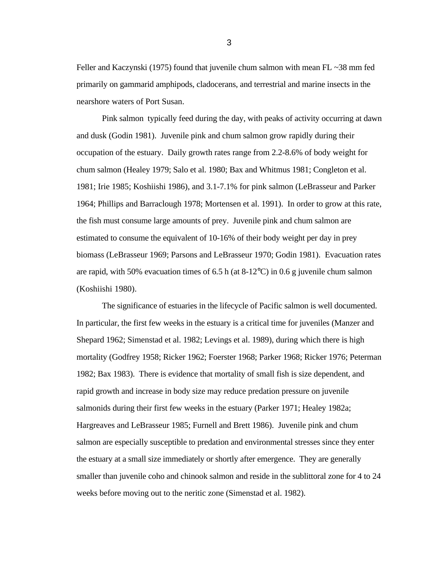Feller and Kaczynski (1975) found that juvenile chum salmon with mean FL  $\sim$ 38 mm fed primarily on gammarid amphipods, cladocerans, and terrestrial and marine insects in the nearshore waters of Port Susan.

Pink salmon typically feed during the day, with peaks of activity occurring at dawn and dusk (Godin 1981). Juvenile pink and chum salmon grow rapidly during their occupation of the estuary. Daily growth rates range from 2.2-8.6% of body weight for chum salmon (Healey 1979; Salo et al. 1980; Bax and Whitmus 1981; Congleton et al. 1981; Irie 1985; Koshiishi 1986), and 3.1-7.1% for pink salmon (LeBrasseur and Parker 1964; Phillips and Barraclough 1978; Mortensen et al. 1991). In order to grow at this rate, the fish must consume large amounts of prey. Juvenile pink and chum salmon are estimated to consume the equivalent of 10-16% of their body weight per day in prey biomass (LeBrasseur 1969; Parsons and LeBrasseur 1970; Godin 1981). Evacuation rates are rapid, with 50% evacuation times of 6.5 h (at  $8-12^{\circ}$ C) in 0.6 g juvenile chum salmon (Koshiishi 1980).

The significance of estuaries in the lifecycle of Pacific salmon is well documented. In particular, the first few weeks in the estuary is a critical time for juveniles (Manzer and Shepard 1962; Simenstad et al. 1982; Levings et al. 1989), during which there is high mortality (Godfrey 1958; Ricker 1962; Foerster 1968; Parker 1968; Ricker 1976; Peterman 1982; Bax 1983). There is evidence that mortality of small fish is size dependent, and rapid growth and increase in body size may reduce predation pressure on juvenile salmonids during their first few weeks in the estuary (Parker 1971; Healey 1982a; Hargreaves and LeBrasseur 1985; Furnell and Brett 1986). Juvenile pink and chum salmon are especially susceptible to predation and environmental stresses since they enter the estuary at a small size immediately or shortly after emergence. They are generally smaller than juvenile coho and chinook salmon and reside in the sublittoral zone for 4 to 24 weeks before moving out to the neritic zone (Simenstad et al. 1982).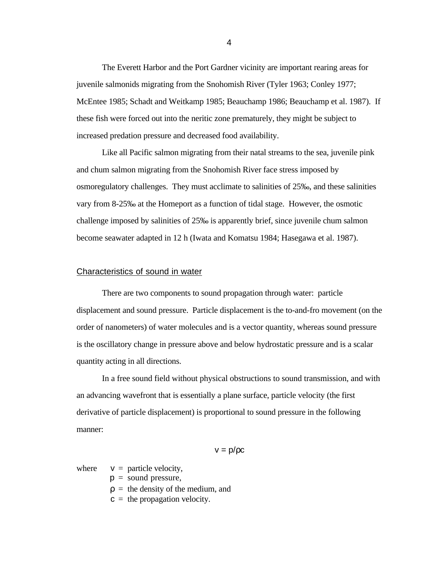The Everett Harbor and the Port Gardner vicinity are important rearing areas for juvenile salmonids migrating from the Snohomish River (Tyler 1963; Conley 1977; McEntee 1985; Schadt and Weitkamp 1985; Beauchamp 1986; Beauchamp et al. 1987). If these fish were forced out into the neritic zone prematurely, they might be subject to increased predation pressure and decreased food availability.

Like all Pacific salmon migrating from their natal streams to the sea, juvenile pink and chum salmon migrating from the Snohomish River face stress imposed by osmoregulatory challenges. They must acclimate to salinities of 25‰, and these salinities vary from 8-25‰ at the Homeport as a function of tidal stage. However, the osmotic challenge imposed by salinities of 25‰ is apparently brief, since juvenile chum salmon become seawater adapted in 12 h (Iwata and Komatsu 1984; Hasegawa et al. 1987).

### Characteristics of sound in water

There are two components to sound propagation through water: particle displacement and sound pressure. Particle displacement is the to-and-fro movement (on the order of nanometers) of water molecules and is a vector quantity, whereas sound pressure is the oscillatory change in pressure above and below hydrostatic pressure and is a scalar quantity acting in all directions.

In a free sound field without physical obstructions to sound transmission, and with an advancing wavefront that is essentially a plane surface, particle velocity (the first derivative of particle displacement) is proportional to sound pressure in the following manner:

$$
v = p/\rho c
$$

where  $v =$  particle velocity,

- $p =$  sound pressure,
- $\rho =$  the density of the medium, and
- $c =$  the propagation velocity.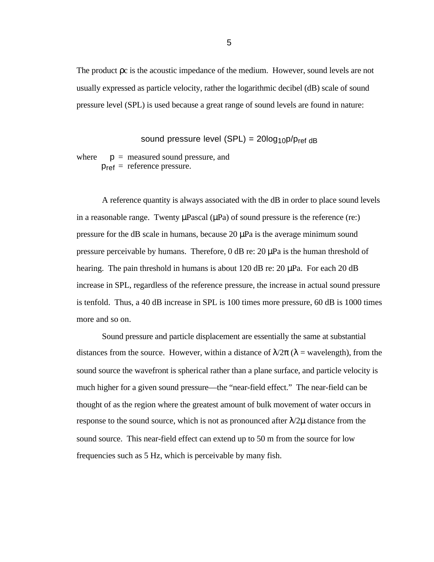The product ρc is the acoustic impedance of the medium. However, sound levels are not usually expressed as particle velocity, rather the logarithmic decibel (dB) scale of sound pressure level (SPL) is used because a great range of sound levels are found in nature:

sound pressure level (SPL) =  $20log_{10}p/p_{ref}$  dB

where  $p =$  measured sound pressure, and  $p_{ref}$  = reference pressure.

A reference quantity is always associated with the dB in order to place sound levels in a reasonable range. Twenty  $\mu$ Pascal  $(\mu$ Pa) of sound pressure is the reference (re:) pressure for the dB scale in humans, because  $20 \mu Pa$  is the average minimum sound pressure perceivable by humans. Therefore, 0 dB re: 20 µPa is the human threshold of hearing. The pain threshold in humans is about 120 dB re:  $20 \mu Pa$ . For each 20 dB increase in SPL, regardless of the reference pressure, the increase in actual sound pressure is tenfold. Thus, a 40 dB increase in SPL is 100 times more pressure, 60 dB is 1000 times more and so on.

Sound pressure and particle displacement are essentially the same at substantial distances from the source. However, within a distance of  $\lambda/2\pi$  ( $\lambda$  = wavelength), from the sound source the wavefront is spherical rather than a plane surface, and particle velocity is much higher for a given sound pressure—the "near-field effect." The near-field can be thought of as the region where the greatest amount of bulk movement of water occurs in response to the sound source, which is not as pronounced after  $\lambda/2\mu$  distance from the sound source. This near-field effect can extend up to 50 m from the source for low frequencies such as 5 Hz, which is perceivable by many fish.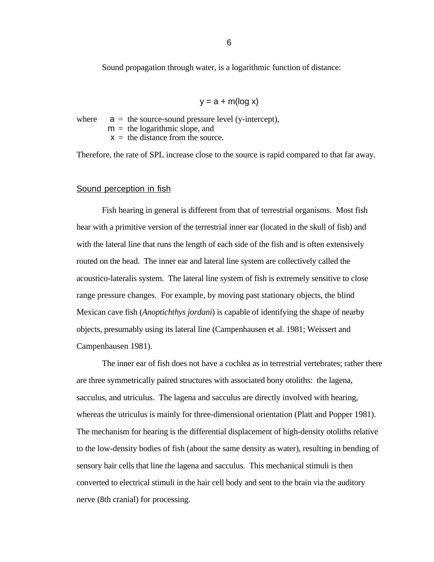Sound propagation through water, is a logarithmic function of distance:

$$
y = a + m(\log x)
$$

where  $a =$  the source-sound pressure level (y-intercept),

 $m =$  the logarithmic slope, and

 $x =$  the distance from the source.

Therefore, the rate of SPL increase close to the source is rapid compared to that far away.

## Sound perception in fish

Fish hearing in general is different from that of terrestrial organisms. Most fish hear with a primitive version of the terrestrial inner ear (located in the skull of fish) and with the lateral line that runs the length of each side of the fish and is often extensively routed on the head. The inner ear and lateral line system are collectively called the acoustico-lateralis system. The lateral line system of fish is extremely sensitive to close range pressure changes. For example, by moving past stationary objects, the blind Mexican cave fish (*Anoptichthys jordani*) is capable of identifying the shape of nearby objects, presumably using its lateral line (Campenhausen et al. 1981; Weissert and Campenhausen 1981).

The inner ear of fish does not have a cochlea as in terrestrial vertebrates; rather there are three symmetrically paired structures with associated bony otoliths: the lagena, sacculus, and utriculus. The lagena and sacculus are directly involved with hearing, whereas the utriculus is mainly for three-dimensional orientation (Platt and Popper 1981). The mechanism for hearing is the differential displacement of high-density otoliths relative to the low-density bodies of fish (about the same density as water), resulting in bending of sensory hair cells that line the lagena and sacculus. This mechanical stimuli is then converted to electrical stimuli in the hair cell body and sent to the brain via the auditory nerve (8th cranial) for processing.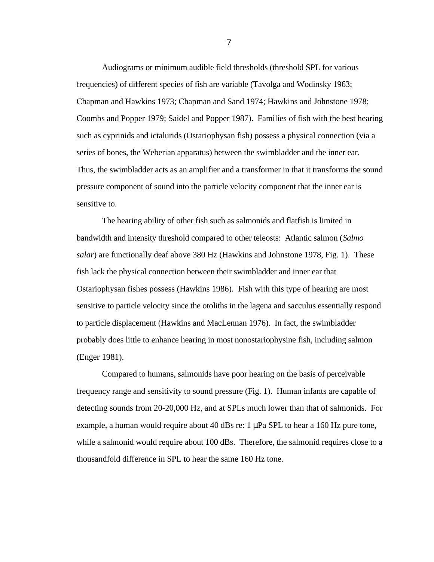Audiograms or minimum audible field thresholds (threshold SPL for various frequencies) of different species of fish are variable (Tavolga and Wodinsky 1963; Chapman and Hawkins 1973; Chapman and Sand 1974; Hawkins and Johnstone 1978; Coombs and Popper 1979; Saidel and Popper 1987). Families of fish with the best hearing such as cyprinids and ictalurids (Ostariophysan fish) possess a physical connection (via a series of bones, the Weberian apparatus) between the swimbladder and the inner ear. Thus, the swimbladder acts as an amplifier and a transformer in that it transforms the sound pressure component of sound into the particle velocity component that the inner ear is sensitive to.

The hearing ability of other fish such as salmonids and flatfish is limited in bandwidth and intensity threshold compared to other teleosts: Atlantic salmon (*Salmo salar*) are functionally deaf above 380 Hz (Hawkins and Johnstone 1978, Fig. 1). These fish lack the physical connection between their swimbladder and inner ear that Ostariophysan fishes possess (Hawkins 1986). Fish with this type of hearing are most sensitive to particle velocity since the otoliths in the lagena and sacculus essentially respond to particle displacement (Hawkins and MacLennan 1976). In fact, the swimbladder probably does little to enhance hearing in most nonostariophysine fish, including salmon (Enger 1981).

Compared to humans, salmonids have poor hearing on the basis of perceivable frequency range and sensitivity to sound pressure (Fig. 1). Human infants are capable of detecting sounds from 20-20,000 Hz, and at SPLs much lower than that of salmonids. For example, a human would require about 40 dBs re:  $1 \mu Pa$  SPL to hear a 160 Hz pure tone, while a salmonid would require about 100 dBs. Therefore, the salmonid requires close to a thousandfold difference in SPL to hear the same 160 Hz tone.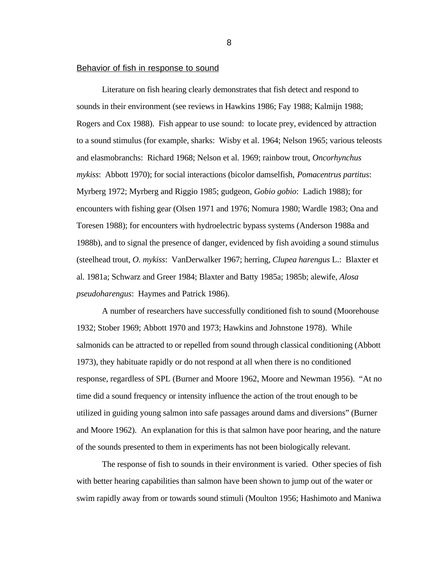## Behavior of fish in response to sound

Literature on fish hearing clearly demonstrates that fish detect and respond to sounds in their environment (see reviews in Hawkins 1986; Fay 1988; Kalmijn 1988; Rogers and Cox 1988). Fish appear to use sound: to locate prey, evidenced by attraction to a sound stimulus (for example, sharks: Wisby et al. 1964; Nelson 1965; various teleosts and elasmobranchs: Richard 1968; Nelson et al. 1969; rainbow trout, *Oncorhynchus mykiss*: Abbott 1970); for social interactions (bicolor damselfish, *Pomacentrus partitus*: Myrberg 1972; Myrberg and Riggio 1985; gudgeon, *Gobio gobio*: Ladich 1988); for encounters with fishing gear (Olsen 1971 and 1976; Nomura 1980; Wardle 1983; Ona and Toresen 1988); for encounters with hydroelectric bypass systems (Anderson 1988a and 1988b), and to signal the presence of danger, evidenced by fish avoiding a sound stimulus (steelhead trout, *O. mykiss*: VanDerwalker 1967; herring, *Clupea harengus* L.: Blaxter et al. 1981a; Schwarz and Greer 1984; Blaxter and Batty 1985a; 1985b; alewife, *Alosa pseudoharengus*: Haymes and Patrick 1986).

A number of researchers have successfully conditioned fish to sound (Moorehouse 1932; Stober 1969; Abbott 1970 and 1973; Hawkins and Johnstone 1978). While salmonids can be attracted to or repelled from sound through classical conditioning (Abbott 1973), they habituate rapidly or do not respond at all when there is no conditioned response, regardless of SPL (Burner and Moore 1962, Moore and Newman 1956). "At no time did a sound frequency or intensity influence the action of the trout enough to be utilized in guiding young salmon into safe passages around dams and diversions" (Burner and Moore 1962). An explanation for this is that salmon have poor hearing, and the nature of the sounds presented to them in experiments has not been biologically relevant.

The response of fish to sounds in their environment is varied. Other species of fish with better hearing capabilities than salmon have been shown to jump out of the water or swim rapidly away from or towards sound stimuli (Moulton 1956; Hashimoto and Maniwa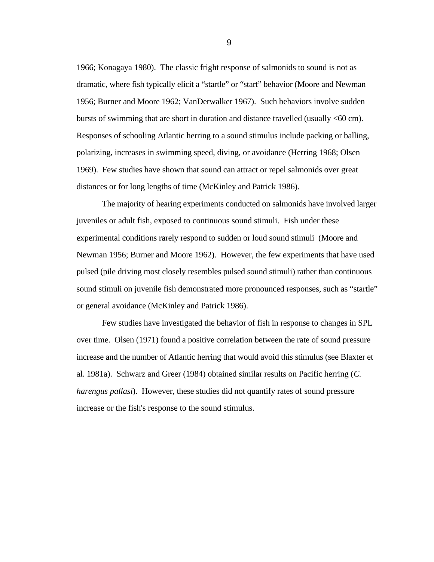1966; Konagaya 1980). The classic fright response of salmonids to sound is not as dramatic, where fish typically elicit a "startle" or "start" behavior (Moore and Newman 1956; Burner and Moore 1962; VanDerwalker 1967). Such behaviors involve sudden bursts of swimming that are short in duration and distance travelled (usually <60 cm). Responses of schooling Atlantic herring to a sound stimulus include packing or balling, polarizing, increases in swimming speed, diving, or avoidance (Herring 1968; Olsen 1969). Few studies have shown that sound can attract or repel salmonids over great distances or for long lengths of time (McKinley and Patrick 1986).

The majority of hearing experiments conducted on salmonids have involved larger juveniles or adult fish, exposed to continuous sound stimuli. Fish under these experimental conditions rarely respond to sudden or loud sound stimuli (Moore and Newman 1956; Burner and Moore 1962). However, the few experiments that have used pulsed (pile driving most closely resembles pulsed sound stimuli) rather than continuous sound stimuli on juvenile fish demonstrated more pronounced responses, such as "startle" or general avoidance (McKinley and Patrick 1986).

Few studies have investigated the behavior of fish in response to changes in SPL over time. Olsen (1971) found a positive correlation between the rate of sound pressure increase and the number of Atlantic herring that would avoid this stimulus (see Blaxter et al. 1981a). Schwarz and Greer (1984) obtained similar results on Pacific herring (*C. harengus pallasi*). However, these studies did not quantify rates of sound pressure increase or the fish's response to the sound stimulus.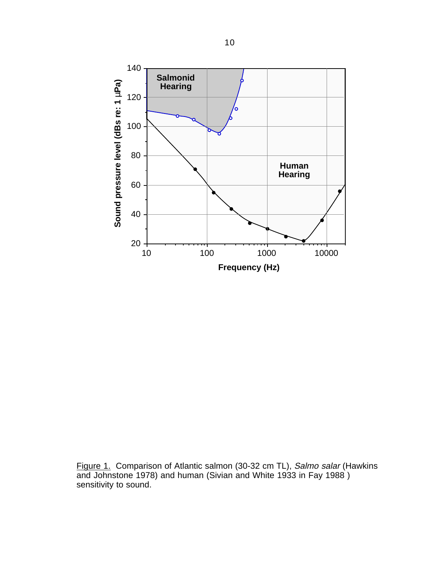

Figure 1. Comparison of Atlantic salmon (30-32 cm TL), Salmo salar (Hawkins and Johnstone 1978) and human (Sivian and White 1933 in Fay 1988 ) sensitivity to sound.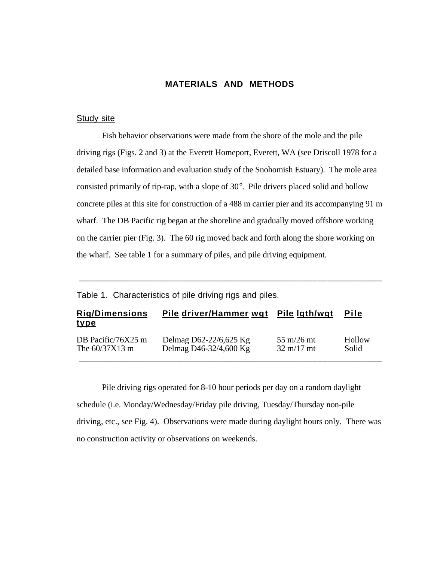## **MATERIALS AND METHODS**

## **Study site**

Fish behavior observations were made from the shore of the mole and the pile driving rigs (Figs. 2 and 3) at the Everett Homeport, Everett, WA (see Driscoll 1978 for a detailed base information and evaluation study of the Snohomish Estuary). The mole area consisted primarily of rip-rap, with a slope of 30°. Pile drivers placed solid and hollow concrete piles at this site for construction of a 488 m carrier pier and its accompanying 91 m wharf. The DB Pacific rig began at the shoreline and gradually moved offshore working on the carrier pier (Fig. 3). The 60 rig moved back and forth along the shore working on the wharf. See table 1 for a summary of piles, and pile driving equipment.

Table 1. Characteristics of pile driving rigs and piles.

| <b>Rig/Dimensions</b><br><u>type</u> | Pile driver/Hammer wgt | Pile Igth/wgt                 | <b>Pile</b> |
|--------------------------------------|------------------------|-------------------------------|-------------|
| DB Pacific/76X25 m                   | Delmag D62-22/6,625 Kg | $55 \text{ m}/26 \text{ m}$ t | Hollow      |
| The $60/37X13$ m                     | Delmag D46-32/4,600 Kg | $32 \text{ m}/17 \text{ m}$ t | Solid       |

\_\_\_\_\_\_\_\_\_\_\_\_\_\_\_\_\_\_\_\_\_\_\_\_\_\_\_\_\_\_\_\_\_\_\_\_\_\_\_\_\_\_\_\_\_\_\_\_\_\_\_\_\_\_\_\_\_\_\_\_\_

Pile driving rigs operated for 8-10 hour periods per day on a random daylight schedule (i.e. Monday/Wednesday/Friday pile driving, Tuesday/Thursday non-pile driving, etc., see Fig. 4). Observations were made during daylight hours only. There was no construction activity or observations on weekends.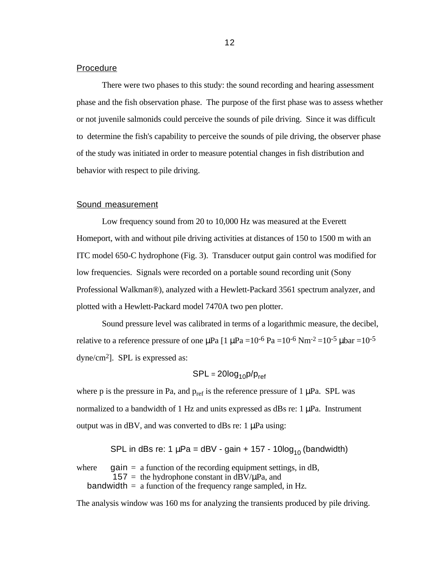## Procedure

There were two phases to this study: the sound recording and hearing assessment phase and the fish observation phase. The purpose of the first phase was to assess whether or not juvenile salmonids could perceive the sounds of pile driving. Since it was difficult to determine the fish's capability to perceive the sounds of pile driving, the observer phase of the study was initiated in order to measure potential changes in fish distribution and behavior with respect to pile driving.

#### Sound measurement

Low frequency sound from 20 to 10,000 Hz was measured at the Everett Homeport, with and without pile driving activities at distances of 150 to 1500 m with an ITC model 650-C hydrophone (Fig. 3). Transducer output gain control was modified for low frequencies. Signals were recorded on a portable sound recording unit (Sony Professional Walkman®), analyzed with a Hewlett-Packard 3561 spectrum analyzer, and plotted with a Hewlett-Packard model 7470A two pen plotter.

Sound pressure level was calibrated in terms of a logarithmic measure, the decibel, relative to a reference pressure of one  $\mu$ Pa [1  $\mu$ Pa =10<sup>-6</sup> Pa =10<sup>-6</sup> Nm<sup>-2</sup> =10<sup>-5</sup>  $\mu$ bar =10<sup>-5</sup> dyne/cm2]. SPL is expressed as:

$$
SPL = 20log_{10}p/p_{ref}
$$

where p is the pressure in Pa, and  $p_{ref}$  is the reference pressure of 1  $\mu$ Pa. SPL was normalized to a bandwidth of 1 Hz and units expressed as dBs re:  $1 \mu Pa$ . Instrument output was in dBV, and was converted to dBs re: 1 uPa using:

SPL in dBs re: 1  $\mu$ Pa = dBV - gain + 157 - 10log<sub>10</sub> (bandwidth)

where gain  $=$  a function of the recording equipment settings, in dB,  $157 =$  the hydrophone constant in dBV/ $\mu$ Pa, and bandwidth  $=$  a function of the frequency range sampled, in Hz.

The analysis window was 160 ms for analyzing the transients produced by pile driving.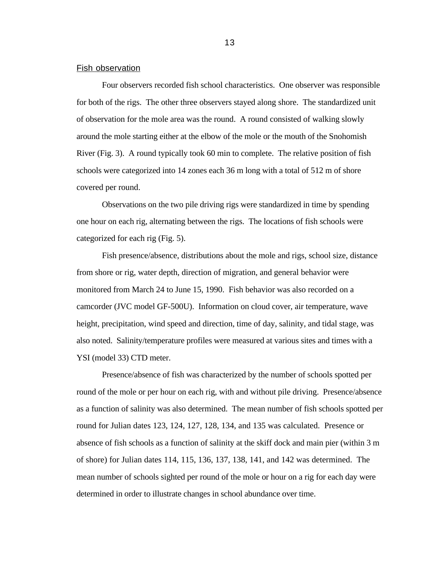## Fish observation

Four observers recorded fish school characteristics. One observer was responsible for both of the rigs. The other three observers stayed along shore. The standardized unit of observation for the mole area was the round. A round consisted of walking slowly around the mole starting either at the elbow of the mole or the mouth of the Snohomish River (Fig. 3). A round typically took 60 min to complete. The relative position of fish schools were categorized into 14 zones each 36 m long with a total of 512 m of shore covered per round.

Observations on the two pile driving rigs were standardized in time by spending one hour on each rig, alternating between the rigs. The locations of fish schools were categorized for each rig (Fig. 5).

Fish presence/absence, distributions about the mole and rigs, school size, distance from shore or rig, water depth, direction of migration, and general behavior were monitored from March 24 to June 15, 1990. Fish behavior was also recorded on a camcorder (JVC model GF-500U). Information on cloud cover, air temperature, wave height, precipitation, wind speed and direction, time of day, salinity, and tidal stage, was also noted. Salinity/temperature profiles were measured at various sites and times with a YSI (model 33) CTD meter.

Presence/absence of fish was characterized by the number of schools spotted per round of the mole or per hour on each rig, with and without pile driving. Presence/absence as a function of salinity was also determined. The mean number of fish schools spotted per round for Julian dates 123, 124, 127, 128, 134, and 135 was calculated. Presence or absence of fish schools as a function of salinity at the skiff dock and main pier (within 3 m of shore) for Julian dates 114, 115, 136, 137, 138, 141, and 142 was determined. The mean number of schools sighted per round of the mole or hour on a rig for each day were determined in order to illustrate changes in school abundance over time.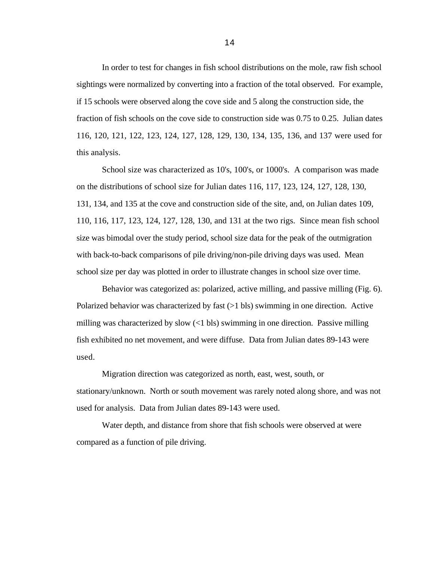In order to test for changes in fish school distributions on the mole, raw fish school sightings were normalized by converting into a fraction of the total observed. For example, if 15 schools were observed along the cove side and 5 along the construction side, the fraction of fish schools on the cove side to construction side was 0.75 to 0.25. Julian dates 116, 120, 121, 122, 123, 124, 127, 128, 129, 130, 134, 135, 136, and 137 were used for this analysis.

School size was characterized as 10's, 100's, or 1000's. A comparison was made on the distributions of school size for Julian dates 116, 117, 123, 124, 127, 128, 130, 131, 134, and 135 at the cove and construction side of the site, and, on Julian dates 109, 110, 116, 117, 123, 124, 127, 128, 130, and 131 at the two rigs. Since mean fish school size was bimodal over the study period, school size data for the peak of the outmigration with back-to-back comparisons of pile driving/non-pile driving days was used. Mean school size per day was plotted in order to illustrate changes in school size over time.

Behavior was categorized as: polarized, active milling, and passive milling (Fig. 6). Polarized behavior was characterized by fast  $(>1$  bls) swimming in one direction. Active milling was characterized by slow  $\left($  <1 bls) swimming in one direction. Passive milling fish exhibited no net movement, and were diffuse. Data from Julian dates 89-143 were used.

Migration direction was categorized as north, east, west, south, or stationary/unknown. North or south movement was rarely noted along shore, and was not used for analysis. Data from Julian dates 89-143 were used.

Water depth, and distance from shore that fish schools were observed at were compared as a function of pile driving.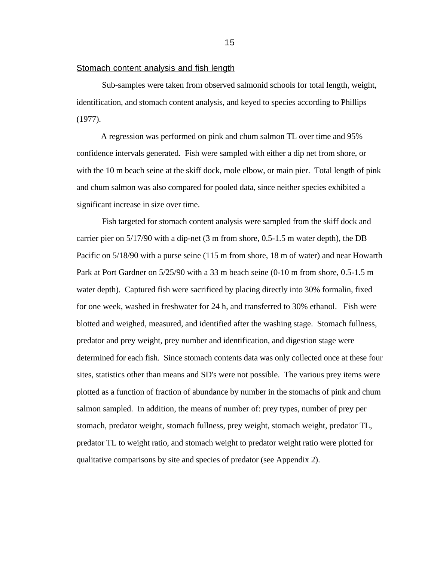#### Stomach content analysis and fish length

Sub-samples were taken from observed salmonid schools for total length, weight, identification, and stomach content analysis, and keyed to species according to Phillips (1977).

A regression was performed on pink and chum salmon TL over time and 95% confidence intervals generated. Fish were sampled with either a dip net from shore, or with the 10 m beach seine at the skiff dock, mole elbow, or main pier. Total length of pink and chum salmon was also compared for pooled data, since neither species exhibited a significant increase in size over time.

Fish targeted for stomach content analysis were sampled from the skiff dock and carrier pier on 5/17/90 with a dip-net (3 m from shore, 0.5-1.5 m water depth), the DB Pacific on 5/18/90 with a purse seine (115 m from shore, 18 m of water) and near Howarth Park at Port Gardner on 5/25/90 with a 33 m beach seine (0-10 m from shore, 0.5-1.5 m water depth). Captured fish were sacrificed by placing directly into 30% formalin, fixed for one week, washed in freshwater for 24 h, and transferred to 30% ethanol. Fish were blotted and weighed, measured, and identified after the washing stage. Stomach fullness, predator and prey weight, prey number and identification, and digestion stage were determined for each fish. Since stomach contents data was only collected once at these four sites, statistics other than means and SD's were not possible. The various prey items were plotted as a function of fraction of abundance by number in the stomachs of pink and chum salmon sampled. In addition, the means of number of: prey types, number of prey per stomach, predator weight, stomach fullness, prey weight, stomach weight, predator TL, predator TL to weight ratio, and stomach weight to predator weight ratio were plotted for qualitative comparisons by site and species of predator (see Appendix 2).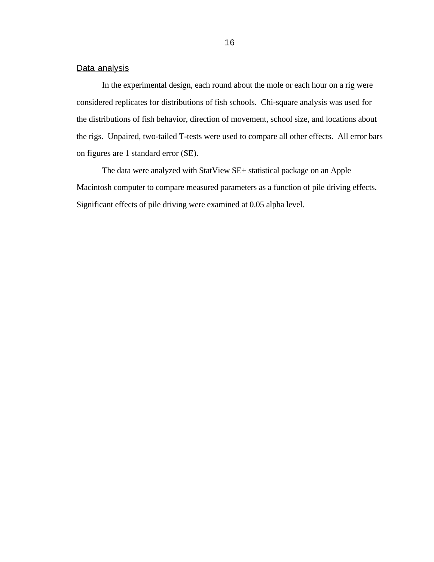## Data analysis

In the experimental design, each round about the mole or each hour on a rig were considered replicates for distributions of fish schools. Chi-square analysis was used for the distributions of fish behavior, direction of movement, school size, and locations about the rigs. Unpaired, two-tailed T-tests were used to compare all other effects. All error bars on figures are 1 standard error (SE).

The data were analyzed with StatView SE+ statistical package on an Apple Macintosh computer to compare measured parameters as a function of pile driving effects. Significant effects of pile driving were examined at 0.05 alpha level.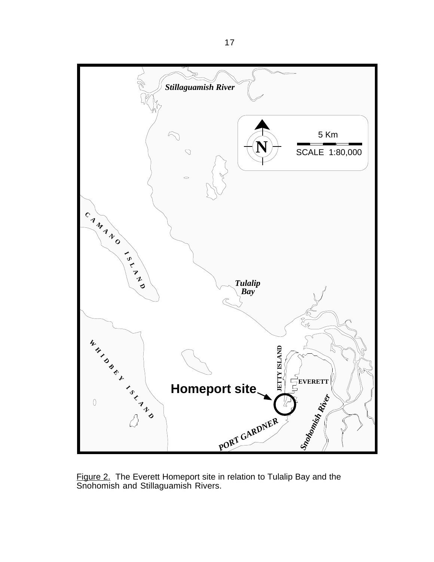

Figure 2. The Everett Homeport site in relation to Tulalip Bay and the Snohomish and Stillaguamish Rivers.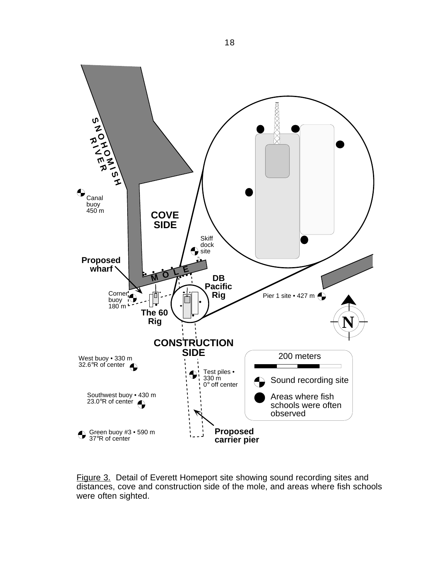

Figure 3. Detail of Everett Homeport site showing sound recording sites and distances, cove and construction side of the mole, and areas where fish schools were often sighted.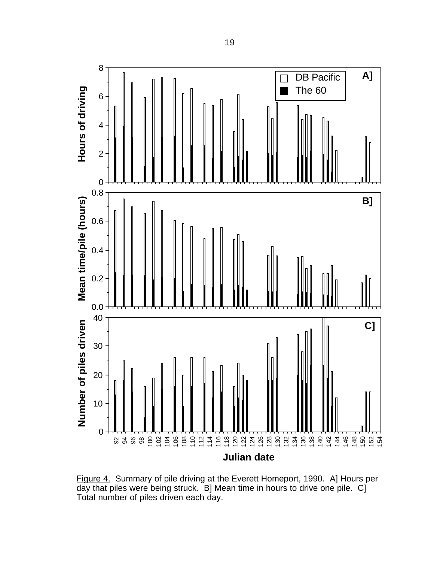

Figure 4. Summary of pile driving at the Everett Homeport, 1990. A] Hours per day that piles were being struck. B] Mean time in hours to drive one pile. C] Total number of piles driven each day.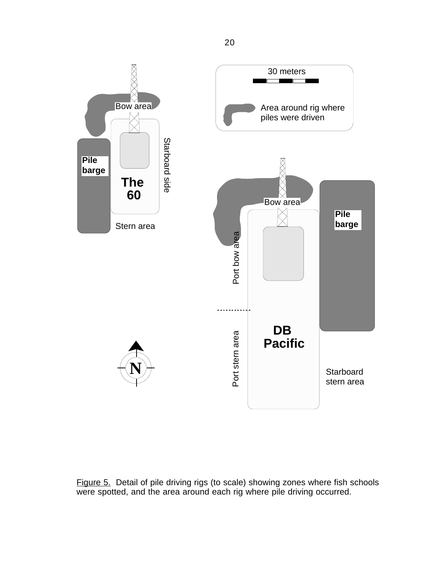

Figure 5. Detail of pile driving rigs (to scale) showing zones where fish schools were spotted, and the area around each rig where pile driving occurred.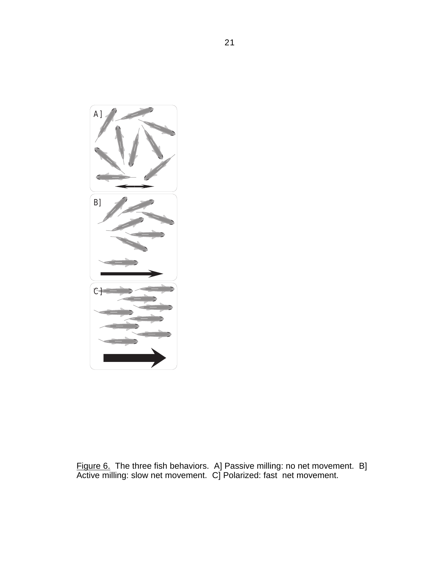

Figure 6. The three fish behaviors. A] Passive milling: no net movement. B] Active milling: slow net movement. C] Polarized: fast net movement.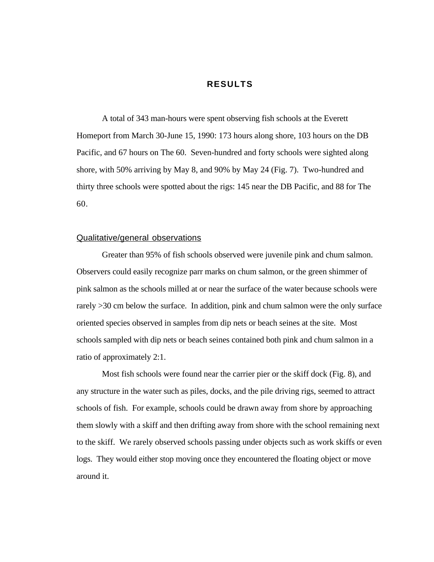## **RESULTS**

A total of 343 man-hours were spent observing fish schools at the Everett Homeport from March 30-June 15, 1990: 173 hours along shore, 103 hours on the DB Pacific, and 67 hours on The 60. Seven-hundred and forty schools were sighted along shore, with 50% arriving by May 8, and 90% by May 24 (Fig. 7). Two-hundred and thirty three schools were spotted about the rigs: 145 near the DB Pacific, and 88 for The 60.

### Qualitative/general observations

Greater than 95% of fish schools observed were juvenile pink and chum salmon. Observers could easily recognize parr marks on chum salmon, or the green shimmer of pink salmon as the schools milled at or near the surface of the water because schools were rarely >30 cm below the surface. In addition, pink and chum salmon were the only surface oriented species observed in samples from dip nets or beach seines at the site. Most schools sampled with dip nets or beach seines contained both pink and chum salmon in a ratio of approximately 2:1.

Most fish schools were found near the carrier pier or the skiff dock (Fig. 8), and any structure in the water such as piles, docks, and the pile driving rigs, seemed to attract schools of fish. For example, schools could be drawn away from shore by approaching them slowly with a skiff and then drifting away from shore with the school remaining next to the skiff. We rarely observed schools passing under objects such as work skiffs or even logs. They would either stop moving once they encountered the floating object or move around it.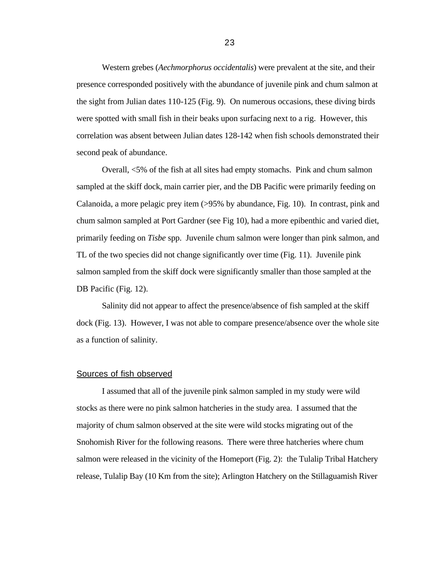Western grebes (*Aechmorphorus occidentalis*) were prevalent at the site, and their presence corresponded positively with the abundance of juvenile pink and chum salmon at the sight from Julian dates 110-125 (Fig. 9). On numerous occasions, these diving birds were spotted with small fish in their beaks upon surfacing next to a rig. However, this correlation was absent between Julian dates 128-142 when fish schools demonstrated their second peak of abundance.

Overall, <5% of the fish at all sites had empty stomachs. Pink and chum salmon sampled at the skiff dock, main carrier pier, and the DB Pacific were primarily feeding on Calanoida, a more pelagic prey item (>95% by abundance, Fig. 10). In contrast, pink and chum salmon sampled at Port Gardner (see Fig 10), had a more epibenthic and varied diet, primarily feeding on *Tisbe* spp. Juvenile chum salmon were longer than pink salmon, and TL of the two species did not change significantly over time (Fig. 11). Juvenile pink salmon sampled from the skiff dock were significantly smaller than those sampled at the DB Pacific (Fig. 12).

Salinity did not appear to affect the presence/absence of fish sampled at the skiff dock (Fig. 13). However, I was not able to compare presence/absence over the whole site as a function of salinity.

#### Sources of fish observed

I assumed that all of the juvenile pink salmon sampled in my study were wild stocks as there were no pink salmon hatcheries in the study area. I assumed that the majority of chum salmon observed at the site were wild stocks migrating out of the Snohomish River for the following reasons. There were three hatcheries where chum salmon were released in the vicinity of the Homeport (Fig. 2): the Tulalip Tribal Hatchery release, Tulalip Bay (10 Km from the site); Arlington Hatchery on the Stillaguamish River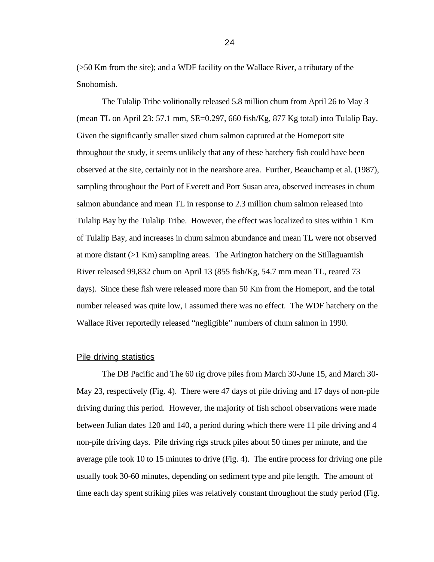(>50 Km from the site); and a WDF facility on the Wallace River, a tributary of the Snohomish.

The Tulalip Tribe volitionally released 5.8 million chum from April 26 to May 3 (mean TL on April 23: 57.1 mm, SE=0.297, 660 fish/Kg, 877 Kg total) into Tulalip Bay. Given the significantly smaller sized chum salmon captured at the Homeport site throughout the study, it seems unlikely that any of these hatchery fish could have been observed at the site, certainly not in the nearshore area. Further, Beauchamp et al. (1987), sampling throughout the Port of Everett and Port Susan area, observed increases in chum salmon abundance and mean TL in response to 2.3 million chum salmon released into Tulalip Bay by the Tulalip Tribe. However, the effect was localized to sites within 1 Km of Tulalip Bay, and increases in chum salmon abundance and mean TL were not observed at more distant (>1 Km) sampling areas. The Arlington hatchery on the Stillaguamish River released 99,832 chum on April 13 (855 fish/Kg, 54.7 mm mean TL, reared 73 days). Since these fish were released more than 50 Km from the Homeport, and the total number released was quite low, I assumed there was no effect. The WDF hatchery on the Wallace River reportedly released "negligible" numbers of chum salmon in 1990.

#### Pile driving statistics

The DB Pacific and The 60 rig drove piles from March 30-June 15, and March 30- May 23, respectively (Fig. 4). There were 47 days of pile driving and 17 days of non-pile driving during this period. However, the majority of fish school observations were made between Julian dates 120 and 140, a period during which there were 11 pile driving and 4 non-pile driving days. Pile driving rigs struck piles about 50 times per minute, and the average pile took 10 to 15 minutes to drive (Fig. 4). The entire process for driving one pile usually took 30-60 minutes, depending on sediment type and pile length. The amount of time each day spent striking piles was relatively constant throughout the study period (Fig.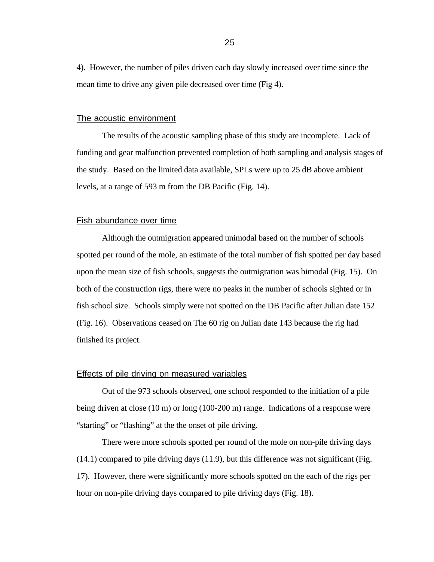4). However, the number of piles driven each day slowly increased over time since the mean time to drive any given pile decreased over time (Fig 4).

## The acoustic environment

The results of the acoustic sampling phase of this study are incomplete. Lack of funding and gear malfunction prevented completion of both sampling and analysis stages of the study. Based on the limited data available, SPLs were up to 25 dB above ambient levels, at a range of 593 m from the DB Pacific (Fig. 14).

## Fish abundance over time

Although the outmigration appeared unimodal based on the number of schools spotted per round of the mole, an estimate of the total number of fish spotted per day based upon the mean size of fish schools, suggests the outmigration was bimodal (Fig. 15). On both of the construction rigs, there were no peaks in the number of schools sighted or in fish school size. Schools simply were not spotted on the DB Pacific after Julian date 152 (Fig. 16). Observations ceased on The 60 rig on Julian date 143 because the rig had finished its project.

#### Effects of pile driving on measured variables

Out of the 973 schools observed, one school responded to the initiation of a pile being driven at close (10 m) or long (100-200 m) range. Indications of a response were "starting" or "flashing" at the the onset of pile driving.

There were more schools spotted per round of the mole on non-pile driving days (14.1) compared to pile driving days (11.9), but this difference was not significant (Fig. 17). However, there were significantly more schools spotted on the each of the rigs per hour on non-pile driving days compared to pile driving days (Fig. 18).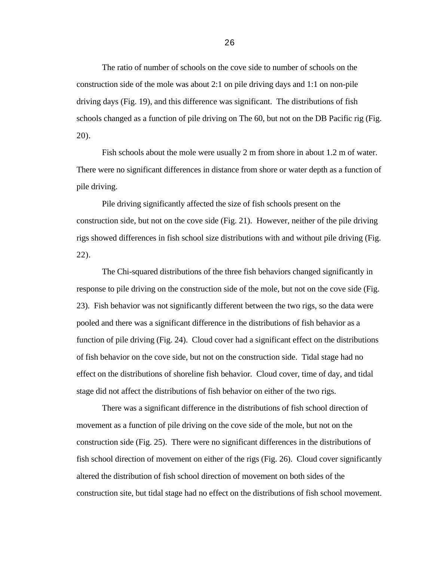The ratio of number of schools on the cove side to number of schools on the construction side of the mole was about 2:1 on pile driving days and 1:1 on non-pile driving days (Fig. 19), and this difference was significant. The distributions of fish schools changed as a function of pile driving on The 60, but not on the DB Pacific rig (Fig. 20).

Fish schools about the mole were usually 2 m from shore in about 1.2 m of water. There were no significant differences in distance from shore or water depth as a function of pile driving.

Pile driving significantly affected the size of fish schools present on the construction side, but not on the cove side (Fig. 21). However, neither of the pile driving rigs showed differences in fish school size distributions with and without pile driving (Fig. 22).

The Chi-squared distributions of the three fish behaviors changed significantly in response to pile driving on the construction side of the mole, but not on the cove side (Fig. 23). Fish behavior was not significantly different between the two rigs, so the data were pooled and there was a significant difference in the distributions of fish behavior as a function of pile driving (Fig. 24). Cloud cover had a significant effect on the distributions of fish behavior on the cove side, but not on the construction side. Tidal stage had no effect on the distributions of shoreline fish behavior. Cloud cover, time of day, and tidal stage did not affect the distributions of fish behavior on either of the two rigs.

There was a significant difference in the distributions of fish school direction of movement as a function of pile driving on the cove side of the mole, but not on the construction side (Fig. 25). There were no significant differences in the distributions of fish school direction of movement on either of the rigs (Fig. 26). Cloud cover significantly altered the distribution of fish school direction of movement on both sides of the construction site, but tidal stage had no effect on the distributions of fish school movement.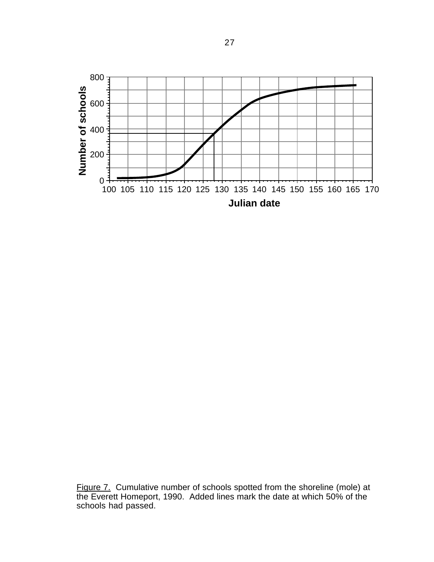

Figure 7. Cumulative number of schools spotted from the shoreline (mole) at the Everett Homeport, 1990. Added lines mark the date at which 50% of the schools had passed.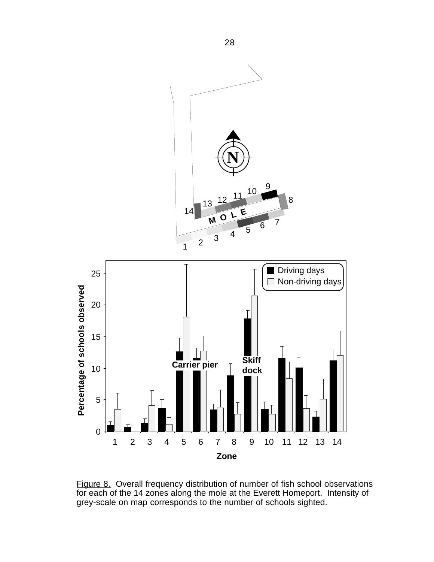

Figure 8. Overall frequency distribution of number of fish school observations for each of the 14 zones along the mole at the Everett Homeport. Intensity of grey-scale on map corresponds to the number of schools sighted.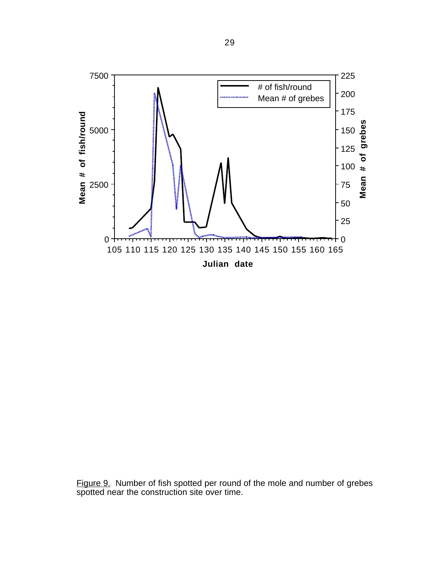

Figure 9. Number of fish spotted per round of the mole and number of grebes spotted near the construction site over time.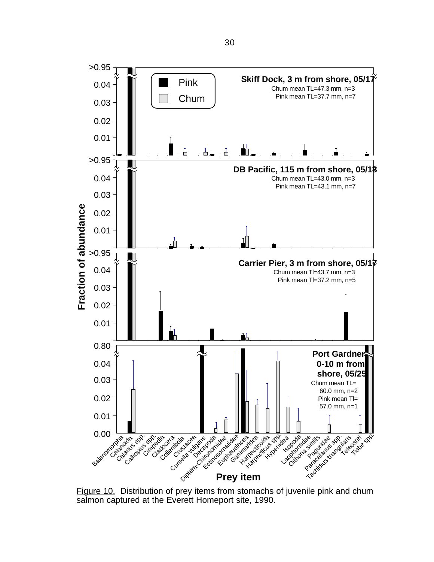

Figure 10. Distribution of prey items from stomachs of juvenile pink and chum salmon captured at the Everett Homeport site, 1990.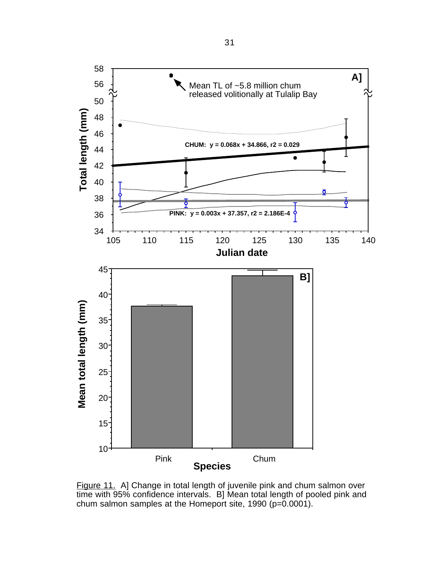

Figure 11. A] Change in total length of juvenile pink and chum salmon over time with 95% confidence intervals. B] Mean total length of pooled pink and chum salmon samples at the Homeport site, 1990 (p=0.0001).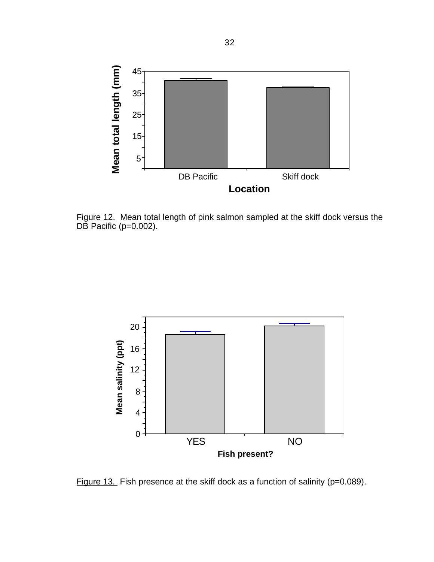

Figure 12. Mean total length of pink salmon sampled at the skiff dock versus the DB Pacific (p=0.002).



Figure 13. Fish presence at the skiff dock as a function of salinity (p=0.089).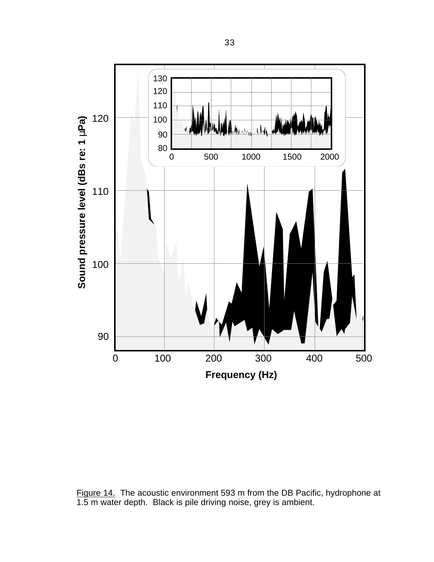

Figure 14. The acoustic environment 593 m from the DB Pacific, hydrophone at 1.5 m water depth. Black is pile driving noise, grey is ambient.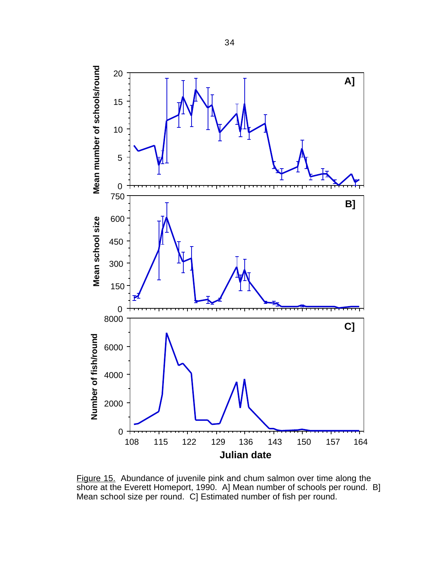

Figure 15. Abundance of juvenile pink and chum salmon over time along the shore at the Everett Homeport, 1990. A] Mean number of schools per round. B] Mean school size per round. C] Estimated number of fish per round.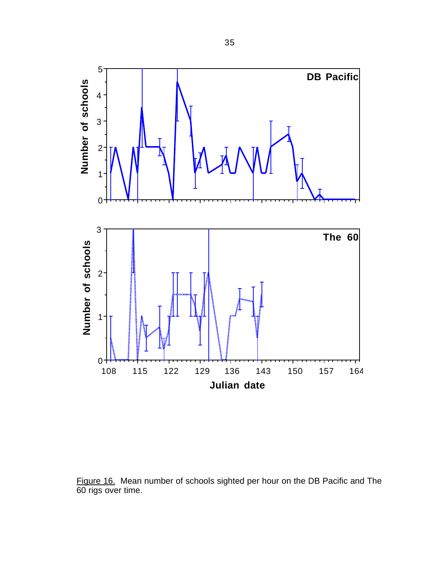

Figure 16. Mean number of schools sighted per hour on the DB Pacific and The 60 rigs over time.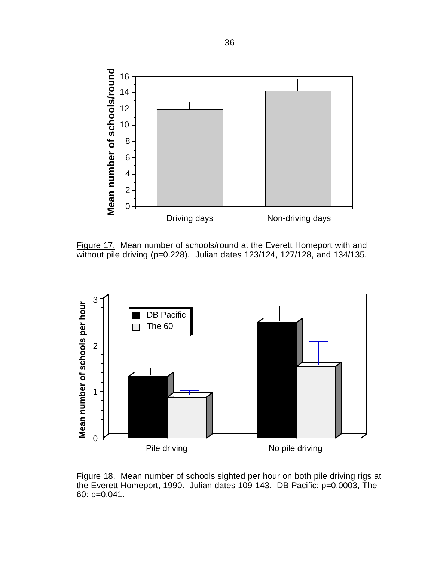

Figure 17. Mean number of schools/round at the Everett Homeport with and without pile driving (p=0.228). Julian dates 123/124, 127/128, and 134/135.



Figure 18. Mean number of schools sighted per hour on both pile driving rigs at the Everett Homeport, 1990. Julian dates 109-143. DB Pacific: p=0.0003, The 60: p=0.041.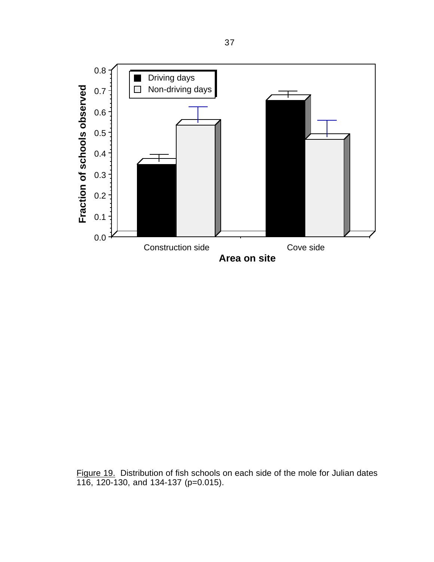

Figure 19. Distribution of fish schools on each side of the mole for Julian dates 116, 120-130, and 134-137 (p=0.015).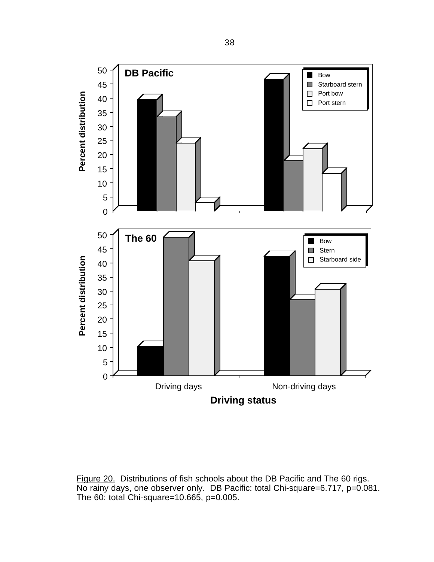

Figure 20. Distributions of fish schools about the DB Pacific and The 60 rigs. No rainy days, one observer only. DB Pacific: total Chi-square=6.717, p=0.081. The 60: total Chi-square=10.665, p=0.005.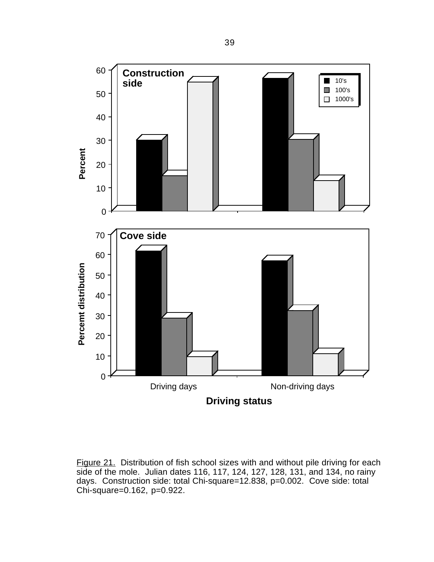

Figure 21. Distribution of fish school sizes with and without pile driving for each side of the mole. Julian dates 116, 117, 124, 127, 128, 131, and 134, no rainy days. Construction side: total Chi-square=12.838, p=0.002. Cove side: total Chi-square=0.162, p=0.922.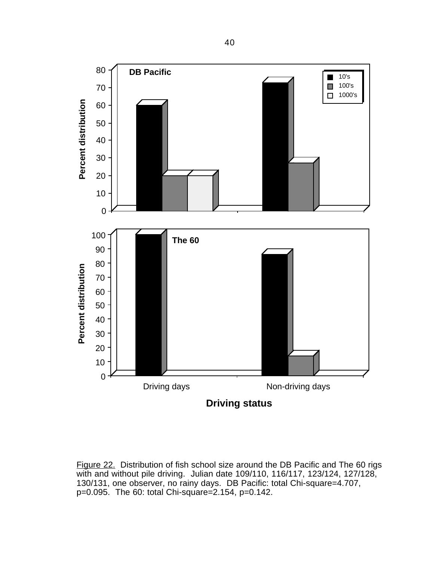

Figure 22. Distribution of fish school size around the DB Pacific and The 60 rigs with and without pile driving. Julian date 109/110, 116/117, 123/124, 127/128, 130/131, one observer, no rainy days. DB Pacific: total Chi-square=4.707, p=0.095. The 60: total Chi-square=2.154, p=0.142.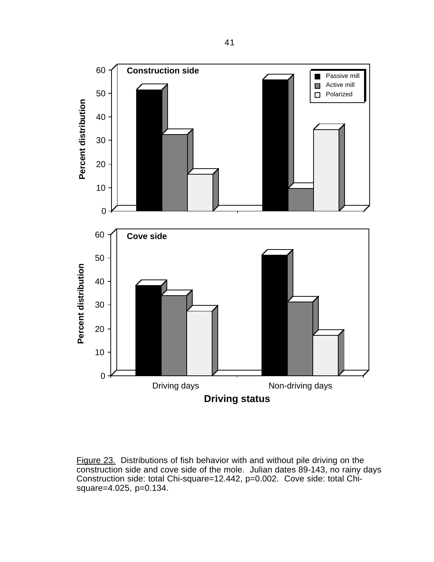

Figure 23. Distributions of fish behavior with and without pile driving on the construction side and cove side of the mole. Julian dates 89-143, no rainy days Construction side: total Chi-square=12.442, p=0.002. Cove side: total Chisquare=4.025, p=0.134.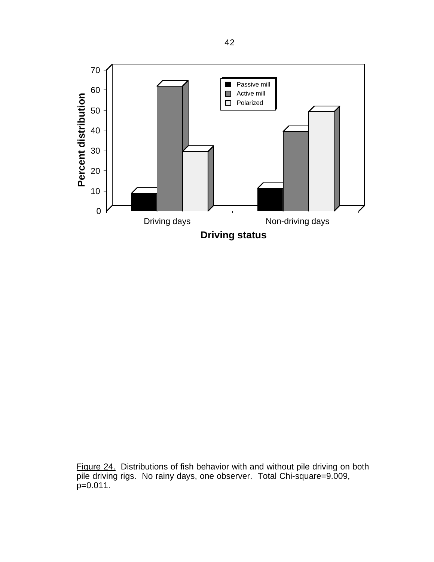

Figure 24. Distributions of fish behavior with and without pile driving on both pile driving rigs. No rainy days, one observer. Total Chi-square=9.009,  $p=0.011$ .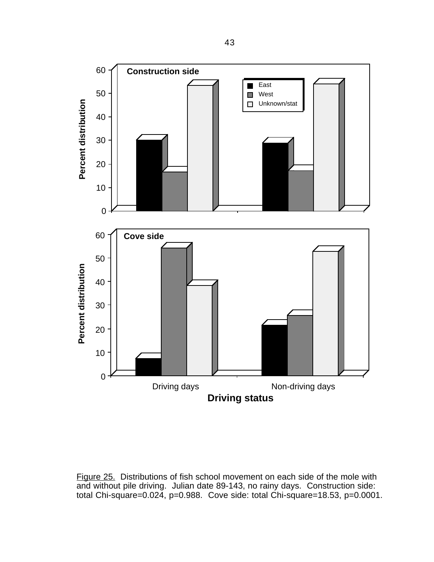

Figure 25. Distributions of fish school movement on each side of the mole with and without pile driving. Julian date 89-143, no rainy days. Construction side: total Chi-square=0.024, p=0.988. Cove side: total Chi-square=18.53, p=0.0001.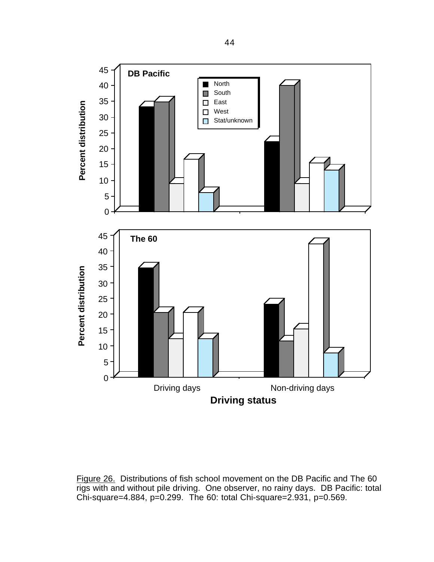

Figure 26. Distributions of fish school movement on the DB Pacific and The 60 rigs with and without pile driving. One observer, no rainy days. DB Pacific: total Chi-square=4.884, p=0.299. The 60: total Chi-square=2.931, p=0.569.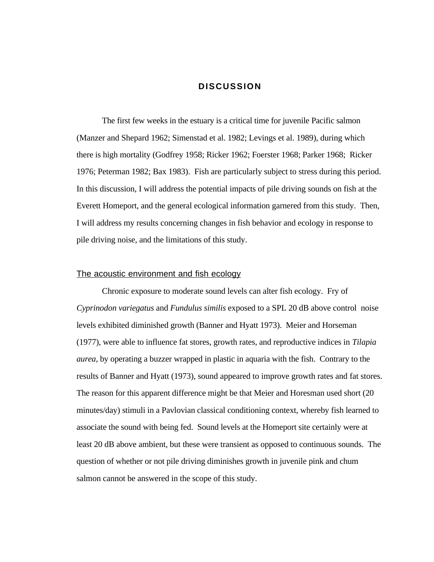# **DISCUSSION**

The first few weeks in the estuary is a critical time for juvenile Pacific salmon (Manzer and Shepard 1962; Simenstad et al. 1982; Levings et al. 1989), during which there is high mortality (Godfrey 1958; Ricker 1962; Foerster 1968; Parker 1968; Ricker 1976; Peterman 1982; Bax 1983). Fish are particularly subject to stress during this period. In this discussion, I will address the potential impacts of pile driving sounds on fish at the Everett Homeport, and the general ecological information garnered from this study. Then, I will address my results concerning changes in fish behavior and ecology in response to pile driving noise, and the limitations of this study.

### The acoustic environment and fish ecology

Chronic exposure to moderate sound levels can alter fish ecology. Fry of *Cyprinodon variegatus* and *Fundulus similis* exposed to a SPL 20 dB above control noise levels exhibited diminished growth (Banner and Hyatt 1973). Meier and Horseman (1977), were able to influence fat stores, growth rates, and reproductive indices in *Tilapia aurea*, by operating a buzzer wrapped in plastic in aquaria with the fish. Contrary to the results of Banner and Hyatt (1973), sound appeared to improve growth rates and fat stores. The reason for this apparent difference might be that Meier and Horesman used short (20 minutes/day) stimuli in a Pavlovian classical conditioning context, whereby fish learned to associate the sound with being fed. Sound levels at the Homeport site certainly were at least 20 dB above ambient, but these were transient as opposed to continuous sounds. The question of whether or not pile driving diminishes growth in juvenile pink and chum salmon cannot be answered in the scope of this study.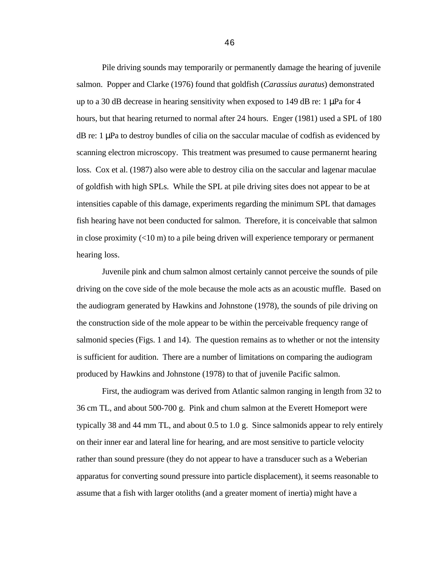Pile driving sounds may temporarily or permanently damage the hearing of juvenile salmon. Popper and Clarke (1976) found that goldfish (*Carassius auratus*) demonstrated up to a 30 dB decrease in hearing sensitivity when exposed to 149 dB re: 1  $\mu$ Pa for 4 hours, but that hearing returned to normal after 24 hours. Enger (1981) used a SPL of 180  $dB$  re: 1  $\mu$ Pa to destroy bundles of cilia on the saccular maculae of codfish as evidenced by scanning electron microscopy. This treatment was presumed to cause permanernt hearing loss. Cox et al. (1987) also were able to destroy cilia on the saccular and lagenar maculae of goldfish with high SPLs. While the SPL at pile driving sites does not appear to be at intensities capable of this damage, experiments regarding the minimum SPL that damages fish hearing have not been conducted for salmon. Therefore, it is conceivable that salmon in close proximity  $(<10 \text{ m})$  to a pile being driven will experience temporary or permanent hearing loss.

Juvenile pink and chum salmon almost certainly cannot perceive the sounds of pile driving on the cove side of the mole because the mole acts as an acoustic muffle. Based on the audiogram generated by Hawkins and Johnstone (1978), the sounds of pile driving on the construction side of the mole appear to be within the perceivable frequency range of salmonid species (Figs. 1 and 14). The question remains as to whether or not the intensity is sufficient for audition. There are a number of limitations on comparing the audiogram produced by Hawkins and Johnstone (1978) to that of juvenile Pacific salmon.

First, the audiogram was derived from Atlantic salmon ranging in length from 32 to 36 cm TL, and about 500-700 g. Pink and chum salmon at the Everett Homeport were typically 38 and 44 mm TL, and about 0.5 to 1.0 g. Since salmonids appear to rely entirely on their inner ear and lateral line for hearing, and are most sensitive to particle velocity rather than sound pressure (they do not appear to have a transducer such as a Weberian apparatus for converting sound pressure into particle displacement), it seems reasonable to assume that a fish with larger otoliths (and a greater moment of inertia) might have a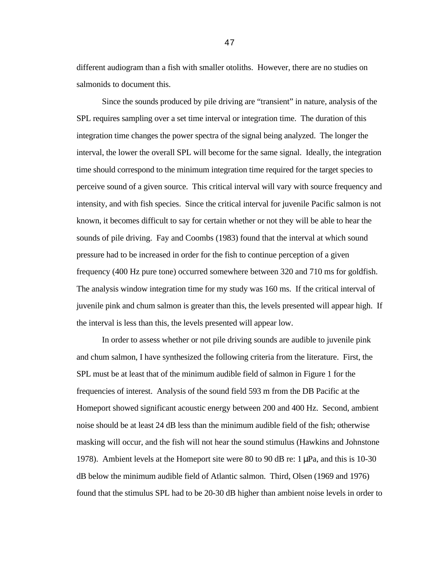different audiogram than a fish with smaller otoliths. However, there are no studies on salmonids to document this.

Since the sounds produced by pile driving are "transient" in nature, analysis of the SPL requires sampling over a set time interval or integration time. The duration of this integration time changes the power spectra of the signal being analyzed. The longer the interval, the lower the overall SPL will become for the same signal. Ideally, the integration time should correspond to the minimum integration time required for the target species to perceive sound of a given source. This critical interval will vary with source frequency and intensity, and with fish species. Since the critical interval for juvenile Pacific salmon is not known, it becomes difficult to say for certain whether or not they will be able to hear the sounds of pile driving. Fay and Coombs (1983) found that the interval at which sound pressure had to be increased in order for the fish to continue perception of a given frequency (400 Hz pure tone) occurred somewhere between 320 and 710 ms for goldfish. The analysis window integration time for my study was 160 ms. If the critical interval of juvenile pink and chum salmon is greater than this, the levels presented will appear high. If the interval is less than this, the levels presented will appear low.

In order to assess whether or not pile driving sounds are audible to juvenile pink and chum salmon, I have synthesized the following criteria from the literature. First, the SPL must be at least that of the minimum audible field of salmon in Figure 1 for the frequencies of interest. Analysis of the sound field 593 m from the DB Pacific at the Homeport showed significant acoustic energy between 200 and 400 Hz. Second, ambient noise should be at least 24 dB less than the minimum audible field of the fish; otherwise masking will occur, and the fish will not hear the sound stimulus (Hawkins and Johnstone 1978). Ambient levels at the Homeport site were 80 to 90 dB re: 1 µPa, and this is 10-30 dB below the minimum audible field of Atlantic salmon. Third, Olsen (1969 and 1976) found that the stimulus SPL had to be 20-30 dB higher than ambient noise levels in order to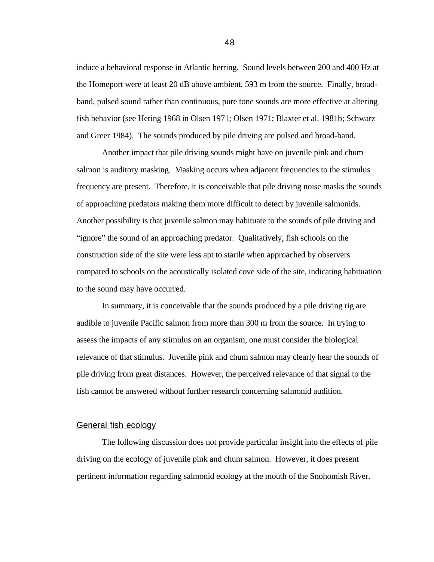induce a behavioral response in Atlantic herring. Sound levels between 200 and 400 Hz at the Homeport were at least 20 dB above ambient, 593 m from the source. Finally, broadband, pulsed sound rather than continuous, pure tone sounds are more effective at altering fish behavior (see Hering 1968 in Olsen 1971; Olsen 1971; Blaxter et al. 1981b; Schwarz and Greer 1984). The sounds produced by pile driving are pulsed and broad-band.

Another impact that pile driving sounds might have on juvenile pink and chum salmon is auditory masking. Masking occurs when adjacent frequencies to the stimulus frequency are present. Therefore, it is conceivable that pile driving noise masks the sounds of approaching predators making them more difficult to detect by juvenile salmonids. Another possibility is that juvenile salmon may habituate to the sounds of pile driving and "ignore" the sound of an approaching predator. Qualitatively, fish schools on the construction side of the site were less apt to startle when approached by observers compared to schools on the acoustically isolated cove side of the site, indicating habituation to the sound may have occurred.

In summary, it is conceivable that the sounds produced by a pile driving rig are audible to juvenile Pacific salmon from more than 300 m from the source. In trying to assess the impacts of any stimulus on an organism, one must consider the biological relevance of that stimulus. Juvenile pink and chum salmon may clearly hear the sounds of pile driving from great distances. However, the perceived relevance of that signal to the fish cannot be answered without further research concerning salmonid audition.

### General fish ecology

The following discussion does not provide particular insight into the effects of pile driving on the ecology of juvenile pink and chum salmon. However, it does present pertinent information regarding salmonid ecology at the mouth of the Snohomish River.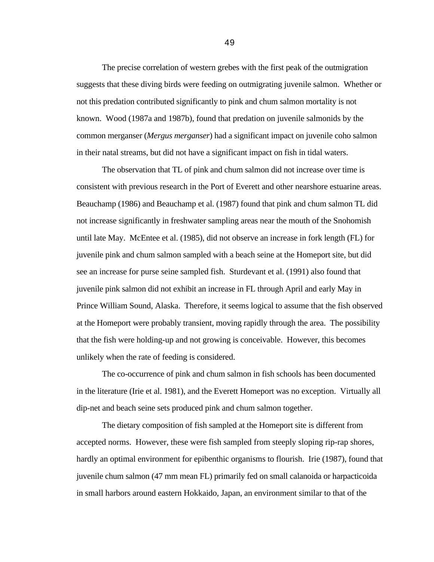The precise correlation of western grebes with the first peak of the outmigration suggests that these diving birds were feeding on outmigrating juvenile salmon. Whether or not this predation contributed significantly to pink and chum salmon mortality is not known. Wood (1987a and 1987b), found that predation on juvenile salmonids by the common merganser (*Mergus merganser*) had a significant impact on juvenile coho salmon in their natal streams, but did not have a significant impact on fish in tidal waters.

The observation that TL of pink and chum salmon did not increase over time is consistent with previous research in the Port of Everett and other nearshore estuarine areas. Beauchamp (1986) and Beauchamp et al. (1987) found that pink and chum salmon TL did not increase significantly in freshwater sampling areas near the mouth of the Snohomish until late May. McEntee et al. (1985), did not observe an increase in fork length (FL) for juvenile pink and chum salmon sampled with a beach seine at the Homeport site, but did see an increase for purse seine sampled fish. Sturdevant et al. (1991) also found that juvenile pink salmon did not exhibit an increase in FL through April and early May in Prince William Sound, Alaska. Therefore, it seems logical to assume that the fish observed at the Homeport were probably transient, moving rapidly through the area. The possibility that the fish were holding-up and not growing is conceivable. However, this becomes unlikely when the rate of feeding is considered.

The co-occurrence of pink and chum salmon in fish schools has been documented in the literature (Irie et al. 1981), and the Everett Homeport was no exception. Virtually all dip-net and beach seine sets produced pink and chum salmon together.

The dietary composition of fish sampled at the Homeport site is different from accepted norms. However, these were fish sampled from steeply sloping rip-rap shores, hardly an optimal environment for epibenthic organisms to flourish. Irie (1987), found that juvenile chum salmon (47 mm mean FL) primarily fed on small calanoida or harpacticoida in small harbors around eastern Hokkaido, Japan, an environment similar to that of the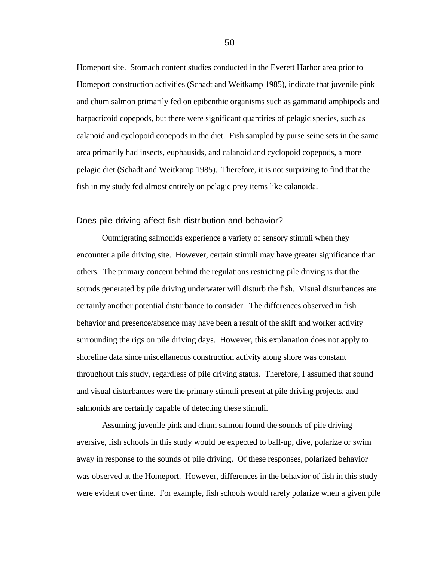Homeport site. Stomach content studies conducted in the Everett Harbor area prior to Homeport construction activities (Schadt and Weitkamp 1985), indicate that juvenile pink and chum salmon primarily fed on epibenthic organisms such as gammarid amphipods and harpacticoid copepods, but there were significant quantities of pelagic species, such as calanoid and cyclopoid copepods in the diet. Fish sampled by purse seine sets in the same area primarily had insects, euphausids, and calanoid and cyclopoid copepods, a more pelagic diet (Schadt and Weitkamp 1985). Therefore, it is not surprizing to find that the fish in my study fed almost entirely on pelagic prey items like calanoida.

## Does pile driving affect fish distribution and behavior?

Outmigrating salmonids experience a variety of sensory stimuli when they encounter a pile driving site. However, certain stimuli may have greater significance than others. The primary concern behind the regulations restricting pile driving is that the sounds generated by pile driving underwater will disturb the fish. Visual disturbances are certainly another potential disturbance to consider. The differences observed in fish behavior and presence/absence may have been a result of the skiff and worker activity surrounding the rigs on pile driving days. However, this explanation does not apply to shoreline data since miscellaneous construction activity along shore was constant throughout this study, regardless of pile driving status. Therefore, I assumed that sound and visual disturbances were the primary stimuli present at pile driving projects, and salmonids are certainly capable of detecting these stimuli.

Assuming juvenile pink and chum salmon found the sounds of pile driving aversive, fish schools in this study would be expected to ball-up, dive, polarize or swim away in response to the sounds of pile driving. Of these responses, polarized behavior was observed at the Homeport. However, differences in the behavior of fish in this study were evident over time. For example, fish schools would rarely polarize when a given pile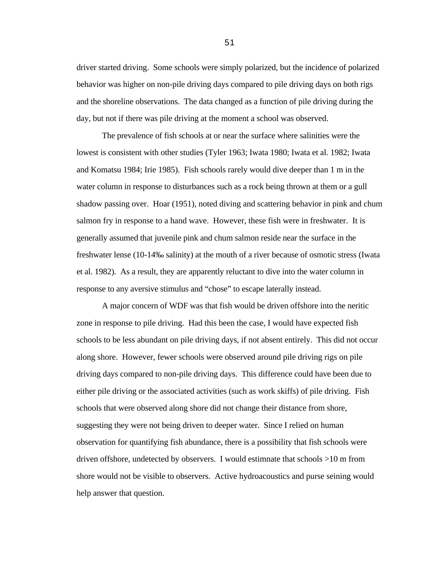driver started driving. Some schools were simply polarized, but the incidence of polarized behavior was higher on non-pile driving days compared to pile driving days on both rigs and the shoreline observations. The data changed as a function of pile driving during the day, but not if there was pile driving at the moment a school was observed.

The prevalence of fish schools at or near the surface where salinities were the lowest is consistent with other studies (Tyler 1963; Iwata 1980; Iwata et al. 1982; Iwata and Komatsu 1984; Irie 1985). Fish schools rarely would dive deeper than 1 m in the water column in response to disturbances such as a rock being thrown at them or a gull shadow passing over. Hoar (1951), noted diving and scattering behavior in pink and chum salmon fry in response to a hand wave. However, these fish were in freshwater. It is generally assumed that juvenile pink and chum salmon reside near the surface in the freshwater lense (10-14‰ salinity) at the mouth of a river because of osmotic stress (Iwata et al. 1982). As a result, they are apparently reluctant to dive into the water column in response to any aversive stimulus and "chose" to escape laterally instead.

A major concern of WDF was that fish would be driven offshore into the neritic zone in response to pile driving. Had this been the case, I would have expected fish schools to be less abundant on pile driving days, if not absent entirely. This did not occur along shore. However, fewer schools were observed around pile driving rigs on pile driving days compared to non-pile driving days. This difference could have been due to either pile driving or the associated activities (such as work skiffs) of pile driving. Fish schools that were observed along shore did not change their distance from shore, suggesting they were not being driven to deeper water. Since I relied on human observation for quantifying fish abundance, there is a possibility that fish schools were driven offshore, undetected by observers. I would estimnate that schools >10 m from shore would not be visible to observers. Active hydroacoustics and purse seining would help answer that question.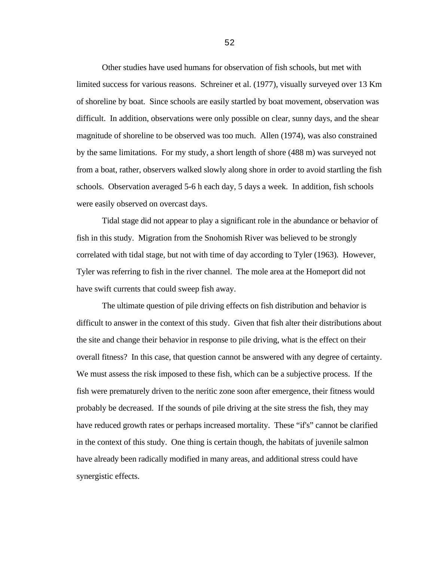Other studies have used humans for observation of fish schools, but met with limited success for various reasons. Schreiner et al. (1977), visually surveyed over 13 Km of shoreline by boat. Since schools are easily startled by boat movement, observation was difficult. In addition, observations were only possible on clear, sunny days, and the shear magnitude of shoreline to be observed was too much. Allen (1974), was also constrained by the same limitations. For my study, a short length of shore (488 m) was surveyed not from a boat, rather, observers walked slowly along shore in order to avoid startling the fish schools. Observation averaged 5-6 h each day, 5 days a week. In addition, fish schools were easily observed on overcast days.

Tidal stage did not appear to play a significant role in the abundance or behavior of fish in this study. Migration from the Snohomish River was believed to be strongly correlated with tidal stage, but not with time of day according to Tyler (1963). However, Tyler was referring to fish in the river channel. The mole area at the Homeport did not have swift currents that could sweep fish away.

The ultimate question of pile driving effects on fish distribution and behavior is difficult to answer in the context of this study. Given that fish alter their distributions about the site and change their behavior in response to pile driving, what is the effect on their overall fitness? In this case, that question cannot be answered with any degree of certainty. We must assess the risk imposed to these fish, which can be a subjective process. If the fish were prematurely driven to the neritic zone soon after emergence, their fitness would probably be decreased. If the sounds of pile driving at the site stress the fish, they may have reduced growth rates or perhaps increased mortality. These "if's" cannot be clarified in the context of this study. One thing is certain though, the habitats of juvenile salmon have already been radically modified in many areas, and additional stress could have synergistic effects.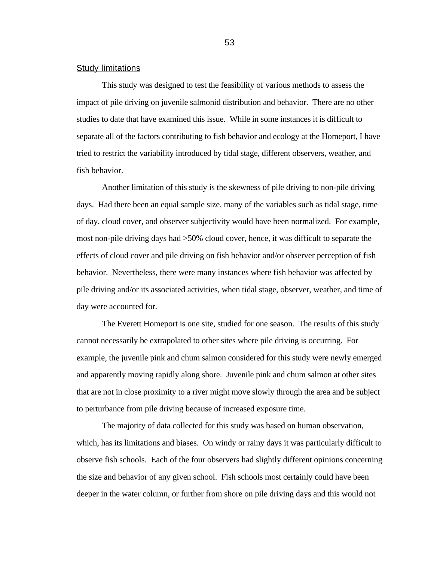### **Study limitations**

This study was designed to test the feasibility of various methods to assess the impact of pile driving on juvenile salmonid distribution and behavior. There are no other studies to date that have examined this issue. While in some instances it is difficult to separate all of the factors contributing to fish behavior and ecology at the Homeport, I have tried to restrict the variability introduced by tidal stage, different observers, weather, and fish behavior.

Another limitation of this study is the skewness of pile driving to non-pile driving days. Had there been an equal sample size, many of the variables such as tidal stage, time of day, cloud cover, and observer subjectivity would have been normalized. For example, most non-pile driving days had >50% cloud cover, hence, it was difficult to separate the effects of cloud cover and pile driving on fish behavior and/or observer perception of fish behavior. Nevertheless, there were many instances where fish behavior was affected by pile driving and/or its associated activities, when tidal stage, observer, weather, and time of day were accounted for.

The Everett Homeport is one site, studied for one season. The results of this study cannot necessarily be extrapolated to other sites where pile driving is occurring. For example, the juvenile pink and chum salmon considered for this study were newly emerged and apparently moving rapidly along shore. Juvenile pink and chum salmon at other sites that are not in close proximity to a river might move slowly through the area and be subject to perturbance from pile driving because of increased exposure time.

The majority of data collected for this study was based on human observation, which, has its limitations and biases. On windy or rainy days it was particularly difficult to observe fish schools. Each of the four observers had slightly different opinions concerning the size and behavior of any given school. Fish schools most certainly could have been deeper in the water column, or further from shore on pile driving days and this would not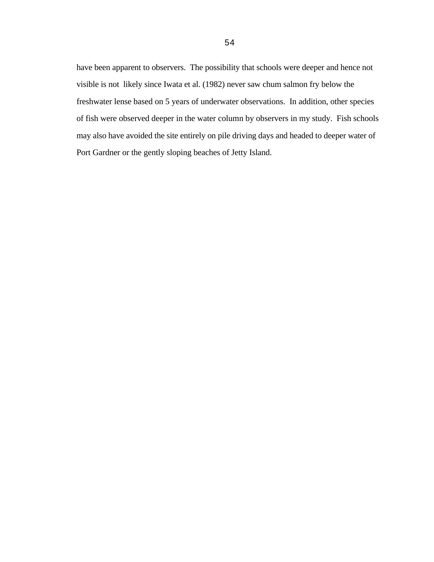have been apparent to observers. The possibility that schools were deeper and hence not visible is not likely since Iwata et al. (1982) never saw chum salmon fry below the freshwater lense based on 5 years of underwater observations. In addition, other species of fish were observed deeper in the water column by observers in my study. Fish schools may also have avoided the site entirely on pile driving days and headed to deeper water of Port Gardner or the gently sloping beaches of Jetty Island.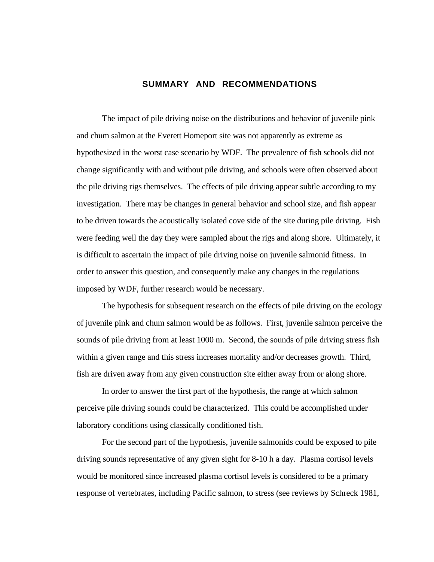### **SUMMARY AND RECOMMENDATIONS**

The impact of pile driving noise on the distributions and behavior of juvenile pink and chum salmon at the Everett Homeport site was not apparently as extreme as hypothesized in the worst case scenario by WDF. The prevalence of fish schools did not change significantly with and without pile driving, and schools were often observed about the pile driving rigs themselves. The effects of pile driving appear subtle according to my investigation. There may be changes in general behavior and school size, and fish appear to be driven towards the acoustically isolated cove side of the site during pile driving. Fish were feeding well the day they were sampled about the rigs and along shore. Ultimately, it is difficult to ascertain the impact of pile driving noise on juvenile salmonid fitness. In order to answer this question, and consequently make any changes in the regulations imposed by WDF, further research would be necessary.

The hypothesis for subsequent research on the effects of pile driving on the ecology of juvenile pink and chum salmon would be as follows. First, juvenile salmon perceive the sounds of pile driving from at least 1000 m. Second, the sounds of pile driving stress fish within a given range and this stress increases mortality and/or decreases growth. Third, fish are driven away from any given construction site either away from or along shore.

In order to answer the first part of the hypothesis, the range at which salmon perceive pile driving sounds could be characterized. This could be accomplished under laboratory conditions using classically conditioned fish.

For the second part of the hypothesis, juvenile salmonids could be exposed to pile driving sounds representative of any given sight for 8-10 h a day. Plasma cortisol levels would be monitored since increased plasma cortisol levels is considered to be a primary response of vertebrates, including Pacific salmon, to stress (see reviews by Schreck 1981,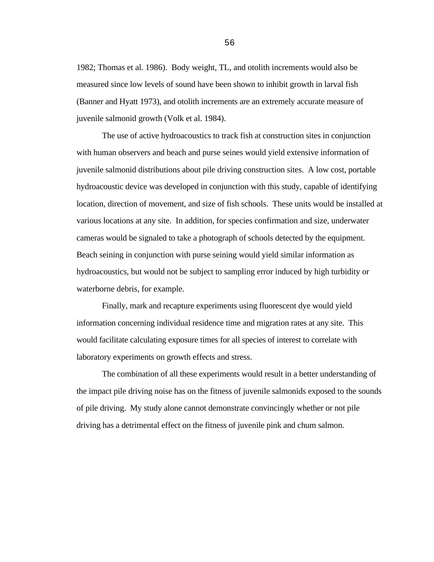1982; Thomas et al. 1986). Body weight, TL, and otolith increments would also be measured since low levels of sound have been shown to inhibit growth in larval fish (Banner and Hyatt 1973), and otolith increments are an extremely accurate measure of juvenile salmonid growth (Volk et al. 1984).

The use of active hydroacoustics to track fish at construction sites in conjunction with human observers and beach and purse seines would yield extensive information of juvenile salmonid distributions about pile driving construction sites. A low cost, portable hydroacoustic device was developed in conjunction with this study, capable of identifying location, direction of movement, and size of fish schools. These units would be installed at various locations at any site. In addition, for species confirmation and size, underwater cameras would be signaled to take a photograph of schools detected by the equipment. Beach seining in conjunction with purse seining would yield similar information as hydroacoustics, but would not be subject to sampling error induced by high turbidity or waterborne debris, for example.

Finally, mark and recapture experiments using fluorescent dye would yield information concerning individual residence time and migration rates at any site. This would facilitate calculating exposure times for all species of interest to correlate with laboratory experiments on growth effects and stress.

The combination of all these experiments would result in a better understanding of the impact pile driving noise has on the fitness of juvenile salmonids exposed to the sounds of pile driving. My study alone cannot demonstrate convincingly whether or not pile driving has a detrimental effect on the fitness of juvenile pink and chum salmon.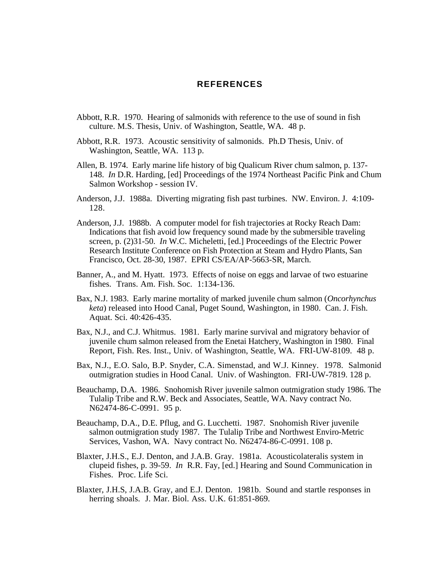### **REFERENCES**

- Abbott, R.R. 1970. Hearing of salmonids with reference to the use of sound in fish culture. M.S. Thesis, Univ. of Washington, Seattle, WA. 48 p.
- Abbott, R.R. 1973. Acoustic sensitivity of salmonids. Ph.D Thesis, Univ. of Washington, Seattle, WA. 113 p.
- Allen, B. 1974. Early marine life history of big Qualicum River chum salmon, p. 137- 148. *In* D.R. Harding, [ed] Proceedings of the 1974 Northeast Pacific Pink and Chum Salmon Workshop - session IV.
- Anderson, J.J. 1988a. Diverting migrating fish past turbines. NW. Environ. J. 4:109- 128.
- Anderson, J.J. 1988b. A computer model for fish trajectories at Rocky Reach Dam: Indications that fish avoid low frequency sound made by the submersible traveling screen, p. (2)31-50. *In* W.C. Micheletti, [ed.] Proceedings of the Electric Power Research Institute Conference on Fish Protection at Steam and Hydro Plants, San Francisco, Oct. 28-30, 1987. EPRI CS/EA/AP-5663-SR, March.
- Banner, A., and M. Hyatt. 1973. Effects of noise on eggs and larvae of two estuarine fishes. Trans. Am. Fish. Soc. 1:134-136.
- Bax, N.J. 1983. Early marine mortality of marked juvenile chum salmon (*Oncorhynchus keta*) released into Hood Canal, Puget Sound, Washington, in 1980. Can. J. Fish. Aquat. Sci. 40:426-435.
- Bax, N.J., and C.J. Whitmus. 1981. Early marine survival and migratory behavior of juvenile chum salmon released from the Enetai Hatchery, Washington in 1980. Final Report, Fish. Res. Inst., Univ. of Washington, Seattle, WA. FRI-UW-8109. 48 p.
- Bax, N.J., E.O. Salo, B.P. Snyder, C.A. Simenstad, and W.J. Kinney. 1978. Salmonid outmigration studies in Hood Canal. Univ. of Washington. FRI-UW-7819. 128 p.
- Beauchamp, D.A. 1986. Snohomish River juvenile salmon outmigration study 1986. The Tulalip Tribe and R.W. Beck and Associates, Seattle, WA. Navy contract No. N62474-86-C-0991. 95 p.
- Beauchamp, D.A., D.E. Pflug, and G. Lucchetti. 1987. Snohomish River juvenile salmon outmigration study 1987. The Tulalip Tribe and Northwest Enviro-Metric Services, Vashon, WA. Navy contract No. N62474-86-C-0991. 108 p.
- Blaxter, J.H.S., E.J. Denton, and J.A.B. Gray. 1981a. Acousticolateralis system in clupeid fishes, p. 39-59. *In* R.R. Fay, [ed.] Hearing and Sound Communication in Fishes. Proc. Life Sci.
- Blaxter, J.H.S, J.A.B. Gray, and E.J. Denton. 1981b. Sound and startle responses in herring shoals. J. Mar. Biol. Ass. U.K. 61:851-869.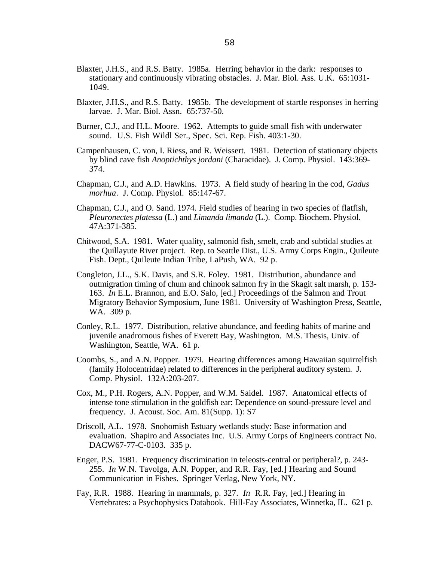- Blaxter, J.H.S., and R.S. Batty. 1985a. Herring behavior in the dark: responses to stationary and continuously vibrating obstacles. J. Mar. Biol. Ass. U.K. 65:1031- 1049.
- Blaxter, J.H.S., and R.S. Batty. 1985b. The development of startle responses in herring larvae. J. Mar. Biol. Assn. 65:737-50.
- Burner, C.J., and H.L. Moore. 1962. Attempts to guide small fish with underwater sound. U.S. Fish Wildl Ser., Spec. Sci. Rep. Fish. 403:1-30.
- Campenhausen, C. von, I. Riess, and R. Weissert. 1981. Detection of stationary objects by blind cave fish *Anoptichthys jordani* (Characidae). J. Comp. Physiol. 143:369- 374.
- Chapman, C.J., and A.D. Hawkins. 1973. A field study of hearing in the cod, *Gadus morhua*. J. Comp. Physiol. 85:147-67.
- Chapman, C.J., and O. Sand. 1974. Field studies of hearing in two species of flatfish, *Pleuronectes platessa* (L.) and *Limanda limanda* (L.). Comp. Biochem. Physiol. 47A:371-385.
- Chitwood, S.A. 1981. Water quality, salmonid fish, smelt, crab and subtidal studies at the Quillayute River project. Rep. to Seattle Dist., U.S. Army Corps Engin., Quileute Fish. Dept., Quileute Indian Tribe, LaPush, WA. 92 p.
- Congleton, J.L., S.K. Davis, and S.R. Foley. 1981. Distribution, abundance and outmigration timing of chum and chinook salmon fry in the Skagit salt marsh, p. 153- 163. *In* E.L. Brannon, and E.O. Salo, [ed.] Proceedings of the Salmon and Trout Migratory Behavior Symposium, June 1981. University of Washington Press, Seattle, WA. 309 p.
- Conley, R.L. 1977. Distribution, relative abundance, and feeding habits of marine and juvenile anadromous fishes of Everett Bay, Washington. M.S. Thesis, Univ. of Washington, Seattle, WA. 61 p.
- Coombs, S., and A.N. Popper. 1979. Hearing differences among Hawaiian squirrelfish (family Holocentridae) related to differences in the peripheral auditory system. J. Comp. Physiol. 132A:203-207.
- Cox, M., P.H. Rogers, A.N. Popper, and W.M. Saidel. 1987. Anatomical effects of intense tone stimulation in the goldfish ear: Dependence on sound-pressure level and frequency. J. Acoust. Soc. Am. 81(Supp. 1): S7
- Driscoll, A.L. 1978. Snohomish Estuary wetlands study: Base information and evaluation. Shapiro and Associates Inc. U.S. Army Corps of Engineers contract No. DACW67-77-C-0103. 335 p.
- Enger, P.S. 1981. Frequency discrimination in teleosts-central or peripheral?, p. 243- 255. *In* W.N. Tavolga, A.N. Popper, and R.R. Fay, [ed.] Hearing and Sound Communication in Fishes. Springer Verlag, New York, NY.
- Fay, R.R. 1988. Hearing in mammals, p. 327. *In* R.R. Fay, [ed.] Hearing in Vertebrates: a Psychophysics Databook. Hill-Fay Associates, Winnetka, IL. 621 p.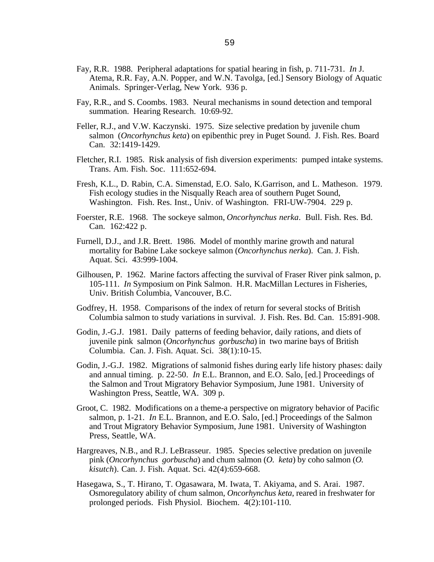- Fay, R.R. 1988. Peripheral adaptations for spatial hearing in fish, p. 711-731. *In* J. Atema, R.R. Fay, A.N. Popper, and W.N. Tavolga, [ed.] Sensory Biology of Aquatic Animals. Springer-Verlag, New York. 936 p.
- Fay, R.R., and S. Coombs. 1983. Neural mechanisms in sound detection and temporal summation. Hearing Research. 10:69-92.
- Feller, R.J., and V.W. Kaczynski. 1975. Size selective predation by juvenile chum salmon (*Oncorhynchus keta*) on epibenthic prey in Puget Sound. J. Fish. Res. Board Can. 32:1419-1429.
- Fletcher, R.I. 1985. Risk analysis of fish diversion experiments: pumped intake systems. Trans. Am. Fish. Soc. 111:652-694.
- Fresh, K.L., D. Rabin, C.A. Simenstad, E.O. Salo, K.Garrison, and L. Matheson. 1979. Fish ecology studies in the Nisqually Reach area of southern Puget Sound, Washington. Fish. Res. Inst., Univ. of Washington. FRI-UW-7904. 229 p.
- Foerster, R.E. 1968. The sockeye salmon, *Oncorhynchus nerka*. Bull. Fish. Res. Bd. Can. 162:422 p.
- Furnell, D.J., and J.R. Brett. 1986. Model of monthly marine growth and natural mortality for Babine Lake sockeye salmon (*Oncorhynchus nerka*). Can. J. Fish. Aquat. Sci. 43:999-1004.
- Gilhousen, P. 1962. Marine factors affecting the survival of Fraser River pink salmon, p. 105-111. *In* Symposium on Pink Salmon. H.R. MacMillan Lectures in Fisheries, Univ. British Columbia, Vancouver, B.C.
- Godfrey, H. 1958. Comparisons of the index of return for several stocks of British Columbia salmon to study variations in survival. J. Fish. Res. Bd. Can. 15:891-908.
- Godin, J.-G.J. 1981. Daily patterns of feeding behavior, daily rations, and diets of juvenile pink salmon (*Oncorhynchus gorbuscha*) in two marine bays of British Columbia. Can. J. Fish. Aquat. Sci. 38(1):10-15.
- Godin, J.-G.J. 1982. Migrations of salmonid fishes during early life history phases: daily and annual timing. p. 22-50. *In* E.L. Brannon, and E.O. Salo, [ed.] Proceedings of the Salmon and Trout Migratory Behavior Symposium, June 1981. University of Washington Press, Seattle, WA. 309 p.
- Groot, C. 1982. Modifications on a theme-a perspective on migratory behavior of Pacific salmon, p. 1-21. *In* E.L. Brannon, and E.O. Salo, [ed.] Proceedings of the Salmon and Trout Migratory Behavior Symposium, June 1981. University of Washington Press, Seattle, WA.
- Hargreaves, N.B., and R.J. LeBrasseur. 1985. Species selective predation on juvenile pink (*Oncorhynchus gorbuscha*) and chum salmon (*O. keta*) by coho salmon (*O. kisutch*). Can. J. Fish. Aquat. Sci. 42(4):659-668.
- Hasegawa, S., T. Hirano, T. Ogasawara, M. Iwata, T. Akiyama, and S. Arai. 1987. Osmoregulatory ability of chum salmon, *Oncorhynchus keta*, reared in freshwater for prolonged periods. Fish Physiol. Biochem. 4(2):101-110.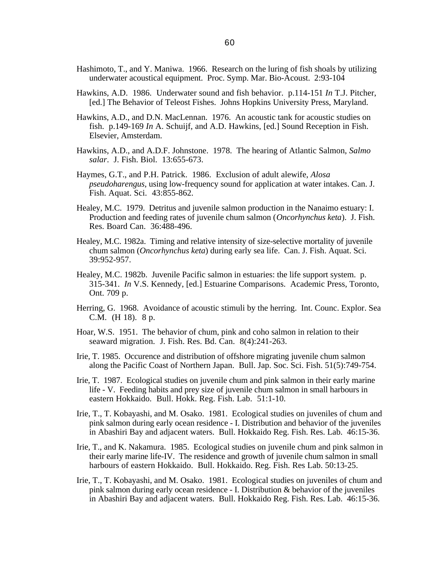- Hashimoto, T., and Y. Maniwa. 1966. Research on the luring of fish shoals by utilizing underwater acoustical equipment. Proc. Symp. Mar. Bio-Acoust. 2:93-104
- Hawkins, A.D. 1986. Underwater sound and fish behavior. p.114-151 *In* T.J. Pitcher, [ed.] The Behavior of Teleost Fishes. Johns Hopkins University Press, Maryland.
- Hawkins, A.D., and D.N. MacLennan. 1976. An acoustic tank for acoustic studies on fish. p.149-169 *In* A. Schuijf, and A.D. Hawkins, [ed.] Sound Reception in Fish. Elsevier, Amsterdam.
- Hawkins, A.D., and A.D.F. Johnstone. 1978. The hearing of Atlantic Salmon, *Salmo salar*. J. Fish. Biol. 13:655-673.
- Haymes, G.T., and P.H. Patrick. 1986. Exclusion of adult alewife, *Alosa pseudoharengus*, using low-frequency sound for application at water intakes. Can. J. Fish. Aquat. Sci. 43:855-862.
- Healey, M.C. 1979. Detritus and juvenile salmon production in the Nanaimo estuary: I. Production and feeding rates of juvenile chum salmon (*Oncorhynchus keta*). J. Fish. Res. Board Can. 36:488-496.
- Healey, M.C. 1982a. Timing and relative intensity of size-selective mortality of juvenile chum salmon (*Oncorhynchus keta*) during early sea life. Can. J. Fish. Aquat. Sci. 39:952-957.
- Healey, M.C. 1982b. Juvenile Pacific salmon in estuaries: the life support system. p. 315-341. *In* V.S. Kennedy, [ed.] Estuarine Comparisons. Academic Press, Toronto, Ont. 709 p.
- Herring, G. 1968. Avoidance of acoustic stimuli by the herring. Int. Counc. Explor. Sea C.M. (H 18). 8 p.
- Hoar, W.S. 1951. The behavior of chum, pink and coho salmon in relation to their seaward migration. J. Fish. Res. Bd. Can. 8(4):241-263.
- Irie, T. 1985. Occurence and distribution of offshore migrating juvenile chum salmon along the Pacific Coast of Northern Japan. Bull. Jap. Soc. Sci. Fish. 51(5):749-754.
- Irie, T. 1987. Ecological studies on juvenile chum and pink salmon in their early marine life - V. Feeding habits and prey size of juvenile chum salmon in small harbours in eastern Hokkaido. Bull. Hokk. Reg. Fish. Lab. 51:1-10.
- Irie, T., T. Kobayashi, and M. Osako. 1981. Ecological studies on juveniles of chum and pink salmon during early ocean residence - I. Distribution and behavior of the juveniles in Abashiri Bay and adjacent waters. Bull. Hokkaido Reg. Fish. Res. Lab. 46:15-36.
- Irie, T., and K. Nakamura. 1985. Ecological studies on juvenile chum and pink salmon in their early marine life-IV. The residence and growth of juvenile chum salmon in small harbours of eastern Hokkaido. Bull. Hokkaido. Reg. Fish. Res Lab. 50:13-25.
- Irie, T., T. Kobayashi, and M. Osako. 1981. Ecological studies on juveniles of chum and pink salmon during early ocean residence - I. Distribution & behavior of the juveniles in Abashiri Bay and adjacent waters. Bull. Hokkaido Reg. Fish. Res. Lab. 46:15-36.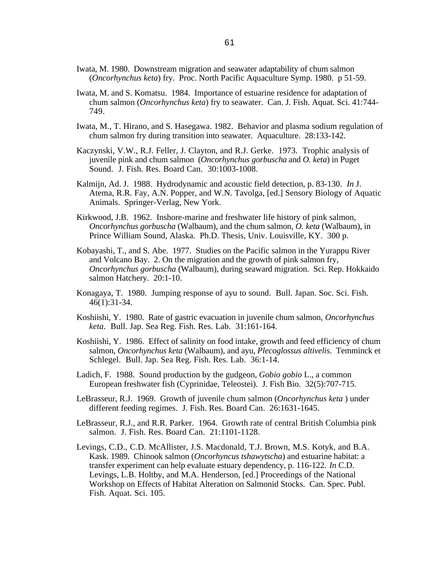- Iwata, M. 1980. Downstream migration and seawater adaptability of chum salmon (*Oncorhynchus keta*) fry. Proc. North Pacific Aquaculture Symp. 1980. p 51-59.
- Iwata, M. and S. Komatsu. 1984. Importance of estuarine residence for adaptation of chum salmon (*Oncorhynchus keta*) fry to seawater. Can. J. Fish. Aquat. Sci. 41:744- 749.
- Iwata, M., T. Hirano, and S. Hasegawa. 1982. Behavior and plasma sodium regulation of chum salmon fry during transition into seawater. Aquaculture. 28:133-142.
- Kaczynski, V.W., R.J. Feller, J. Clayton, and R.J. Gerke. 1973. Trophic analysis of juvenile pink and chum salmon (*Oncorhynchus gorbuscha* and *O. keta*) in Puget Sound. J. Fish. Res. Board Can. 30:1003-1008.
- Kalmijn, Ad. J. 1988. Hydrodynamic and acoustic field detection, p. 83-130. *In* J. Atema, R.R. Fay, A.N. Popper, and W.N. Tavolga, [ed.] Sensory Biology of Aquatic Animals. Springer-Verlag, New York.
- Kirkwood, J.B. 1962. Inshore-marine and freshwater life history of pink salmon, *Oncorhynchus gorbuscha* (Walbaum), and the chum salmon, *O. keta* (Walbaum), in Prince William Sound, Alaska. Ph.D. Thesis, Univ. Louisville, KY. 300 p.
- Kobayashi, T., and S. Abe. 1977. Studies on the Pacific salmon in the Yurappu River and Volcano Bay. 2. On the migration and the growth of pink salmon fry, *Oncorhynchus gorbuscha* (Walbaum), during seaward migration. Sci. Rep. Hokkaido salmon Hatchery. 20:1-10.
- Konagaya, T. 1980. Jumping response of ayu to sound. Bull. Japan. Soc. Sci. Fish. 46(1):31-34.
- Koshiishi, Y. 1980. Rate of gastric evacuation in juvenile chum salmon, *Oncorhynchus keta*. Bull. Jap. Sea Reg. Fish. Res. Lab. 31:161-164.
- Koshiishi, Y. 1986. Effect of salinity on food intake, growth and feed efficiency of chum salmon, *Oncorhynchus keta* (Walbaum), and ayu, *Plecoglossus altivelis*. Temminck et Schlegel. Bull. Jap. Sea Reg. Fish. Res. Lab. 36:1-14.
- Ladich, F. 1988. Sound production by the gudgeon, *Gobio gobio* L., a common European freshwater fish (Cyprinidae, Teleostei). J. Fish Bio. 32(5):707-715.
- LeBrasseur, R.J. 1969. Growth of juvenile chum salmon (*Oncorhynchus keta* ) under different feeding regimes. J. Fish. Res. Board Can. 26:1631-1645.
- LeBrasseur, R.J., and R.R. Parker. 1964. Growth rate of central British Columbia pink salmon. J. Fish. Res. Board Can. 21:1101-1128.
- Levings, C.D., C.D. McAllister, J.S. Macdonald, T.J. Brown, M.S. Kotyk, and B.A. Kask. 1989. Chinook salmon (*Oncorhyncus tshawytscha*) and estuarine habitat: a transfer experiment can help evaluate estuary dependency, p. 116-122. *In* C.D. Levings, L.B. Holtby, and M.A. Henderson, [ed.] Proceedings of the National Workshop on Effects of Habitat Alteration on Salmonid Stocks. Can. Spec. Publ. Fish. Aquat. Sci. 105.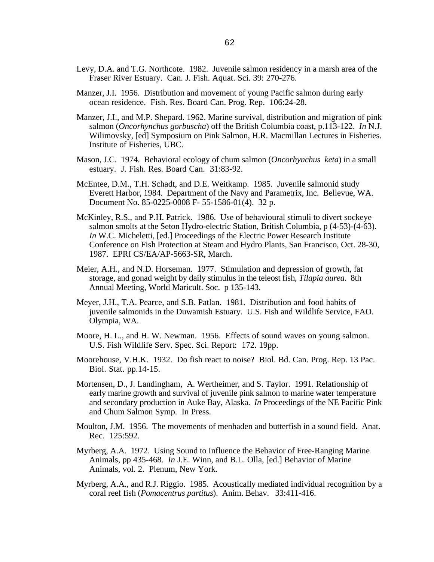- Levy, D.A. and T.G. Northcote. 1982. Juvenile salmon residency in a marsh area of the Fraser River Estuary. Can. J. Fish. Aquat. Sci. 39: 270-276.
- Manzer, J.I. 1956. Distribution and movement of young Pacific salmon during early ocean residence. Fish. Res. Board Can. Prog. Rep. 106:24-28.
- Manzer, J.I., and M.P. Shepard. 1962. Marine survival, distribution and migration of pink salmon (*Oncorhynchus gorbuscha*) off the British Columbia coast, p.113-122. *In* N.J. Wilimovsky, [ed] Symposium on Pink Salmon, H.R. Macmillan Lectures in Fisheries. Institute of Fisheries, UBC.
- Mason, J.C. 1974. Behavioral ecology of chum salmon (*Oncorhynchus keta*) in a small estuary. J. Fish. Res. Board Can. 31:83-92.
- McEntee, D.M., T.H. Schadt, and D.E. Weitkamp. 1985. Juvenile salmonid study Everett Harbor, 1984. Department of the Navy and Parametrix, Inc. Bellevue, WA. Document No. 85-0225-0008 F- 55-1586-01(4). 32 p.
- McKinley, R.S., and P.H. Patrick. 1986. Use of behavioural stimuli to divert sockeye salmon smolts at the Seton Hydro-electric Station, British Columbia, p (4-53)-(4-63). *In* W.C. Micheletti, [ed.] Proceedings of the Electric Power Research Institute Conference on Fish Protection at Steam and Hydro Plants, San Francisco, Oct. 28-30, 1987. EPRI CS/EA/AP-5663-SR, March.
- Meier, A.H., and N.D. Horseman. 1977. Stimulation and depression of growth, fat storage, and gonad weight by daily stimulus in the teleost fish, *Tilapia aurea*. 8th Annual Meeting, World Maricult. Soc. p 135-143.
- Meyer, J.H., T.A. Pearce, and S.B. Patlan. 1981. Distribution and food habits of juvenile salmonids in the Duwamish Estuary. U.S. Fish and Wildlife Service, FAO. Olympia, WA.
- Moore, H. L., and H. W. Newman. 1956. Effects of sound waves on young salmon. U.S. Fish Wildlife Serv. Spec. Sci. Report: 172. 19pp.
- Moorehouse, V.H.K. 1932. Do fish react to noise? Biol. Bd. Can. Prog. Rep. 13 Pac. Biol. Stat. pp.14-15.
- Mortensen, D., J. Landingham, A. Wertheimer, and S. Taylor. 1991. Relationship of early marine growth and survival of juvenile pink salmon to marine water temperature and secondary production in Auke Bay, Alaska. *In* Proceedings of the NE Pacific Pink and Chum Salmon Symp. In Press.
- Moulton, J.M. 1956. The movements of menhaden and butterfish in a sound field. Anat. Rec. 125:592.
- Myrberg, A.A. 1972. Using Sound to Influence the Behavior of Free-Ranging Marine Animals, pp 435-468. *In* J.E. Winn, and B.L. Olla, [ed.] Behavior of Marine Animals, vol. 2. Plenum, New York.
- Myrberg, A.A., and R.J. Riggio. 1985. Acoustically mediated individual recognition by a coral reef fish (*Pomacentrus partitus*). Anim. Behav. 33:411-416.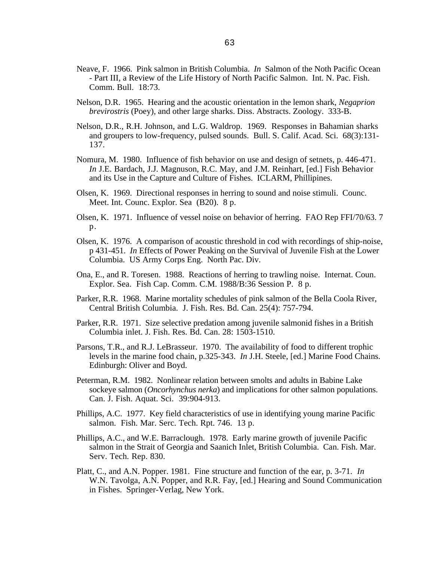- Neave, F. 1966. Pink salmon in British Columbia. *In* Salmon of the Noth Pacific Ocean - Part III, a Review of the Life History of North Pacific Salmon. Int. N. Pac. Fish. Comm. Bull. 18:73.
- Nelson, D.R. 1965. Hearing and the acoustic orientation in the lemon shark, *Negaprion brevirostris* (Poey), and other large sharks. Diss. Abstracts. Zoology. 333-B.
- Nelson, D.R., R.H. Johnson, and L.G. Waldrop. 1969. Responses in Bahamian sharks and groupers to low-frequency, pulsed sounds. Bull. S. Calif. Acad. Sci. 68(3):131- 137.
- Nomura, M. 1980. Influence of fish behavior on use and design of setnets, p. 446-471. *In* J.E. Bardach, J.J. Magnuson, R.C. May, and J.M. Reinhart, [ed.] Fish Behavior and its Use in the Capture and Culture of Fishes. ICLARM, Phillipines.
- Olsen, K. 1969. Directional responses in herring to sound and noise stimuli. Counc. Meet. Int. Counc. Explor. Sea (B20). 8 p.
- Olsen, K. 1971. Influence of vessel noise on behavior of herring. FAO Rep FFI/70/63. 7 p.
- Olsen, K. 1976. A comparison of acoustic threshold in cod with recordings of ship-noise, p 431-451. *In* Effects of Power Peaking on the Survival of Juvenile Fish at the Lower Columbia. US Army Corps Eng. North Pac. Div.
- Ona, E., and R. Toresen. 1988. Reactions of herring to trawling noise. Internat. Coun. Explor. Sea. Fish Cap. Comm. C.M. 1988/B:36 Session P. 8 p.
- Parker, R.R. 1968. Marine mortality schedules of pink salmon of the Bella Coola River, Central British Columbia. J. Fish. Res. Bd. Can. 25(4): 757-794.
- Parker, R.R. 1971. Size selective predation among juvenile salmonid fishes in a British Columbia inlet. J. Fish. Res. Bd. Can. 28: 1503-1510.
- Parsons, T.R., and R.J. LeBrasseur. 1970. The availability of food to different trophic levels in the marine food chain, p.325-343. *In* J.H. Steele, [ed.] Marine Food Chains. Edinburgh: Oliver and Boyd.
- Peterman, R.M. 1982. Nonlinear relation between smolts and adults in Babine Lake sockeye salmon (*Oncorhynchus nerka*) and implications for other salmon populations. Can. J. Fish. Aquat. Sci. 39:904-913.
- Phillips, A.C. 1977. Key field characteristics of use in identifying young marine Pacific salmon. Fish. Mar. Serc. Tech. Rpt. 746. 13 p.
- Phillips, A.C., and W.E. Barraclough. 1978. Early marine growth of juvenile Pacific salmon in the Strait of Georgia and Saanich Inlet, British Columbia. Can. Fish. Mar. Serv. Tech. Rep. 830.
- Platt, C., and A.N. Popper. 1981. Fine structure and function of the ear, p. 3-71. *In* W.N. Tavolga, A.N. Popper, and R.R. Fay, [ed.] Hearing and Sound Communication in Fishes. Springer-Verlag, New York.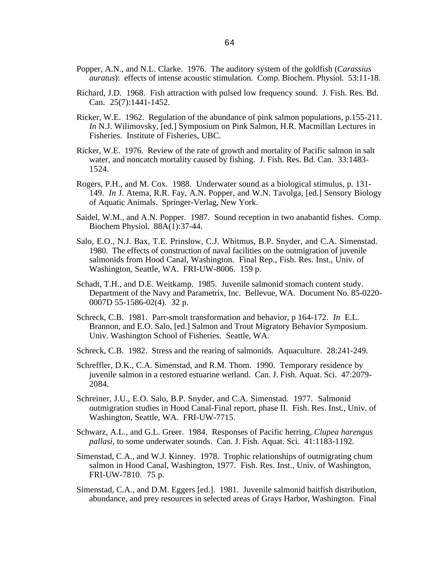- Popper, A.N., and N.L. Clarke. 1976. The auditory system of the goldfish (*Carassius auratus*): effects of intense acoustic stimulation. Comp. Biochem. Physiol. 53:11-18.
- Richard, J.D. 1968. Fish attraction with pulsed low frequency sound. J. Fish. Res. Bd. Can. 25(7):1441-1452.
- Ricker, W.E. 1962. Regulation of the abundance of pink salmon populations, p.155-211. *In* N.J. Wilimovsky, [ed.] Symposium on Pink Salmon, H.R. Macmillan Lectures in Fisheries. Institute of Fisheries, UBC.
- Ricker, W.E. 1976. Review of the rate of growth and mortality of Pacific salmon in salt water, and noncatch mortality caused by fishing. J. Fish. Res. Bd. Can. 33:1483- 1524.
- Rogers, P.H., and M. Cox. 1988. Underwater sound as a biological stimulus, p. 131- 149. *In* J. Atema, R.R. Fay, A.N. Popper, and W.N. Tavolga, [ed.] Sensory Biology of Aquatic Animals. Springer-Verlag, New York.
- Saidel, W.M., and A.N. Popper. 1987. Sound reception in two anabantid fishes. Comp. Biochem Physiol. 88A(1):37-44.
- Salo, E.O., N.J. Bax, T.E. Prinslow, C.J. Whitmus, B.P. Snyder, and C.A. Simenstad. 1980. The effects of construction of naval facilities on the outmigration of juvenile salmonids from Hood Canal, Washington. Final Rep., Fish. Res. Inst., Univ. of Washington, Seattle, WA. FRI-UW-8006. 159 p.
- Schadt, T.H., and D.E. Weitkamp. 1985. Juvenile salmonid stomach content study. Department of the Navy and Parametrix, Inc. Bellevue, WA. Document No. 85-0220- 0007D 55-1586-02(4). 32 p.
- Schreck, C.B. 1981. Parr-smolt transformation and behavior, p 164-172. *In* E.L. Brannon, and E.O. Salo, [ed.] Salmon and Trout Migratory Behavior Symposium. Univ. Washington School of Fisheries. Seattle, WA.
- Schreck, C.B. 1982. Stress and the rearing of salmonids. Aquaculture. 28:241-249.
- Schreffler, D.K., C.A. Simenstad, and R.M. Thom. 1990. Temporary residence by juvenile salmon in a restored estuarine wetland. Can. J. Fish. Aquat. Sci. 47:2079- 2084.
- Schreiner, J.U., E.O. Salo, B.P. Snyder, and C.A. Simenstad. 1977. Salmonid outmigration studies in Hood Canal-Final report, phase II. Fish. Res. Inst., Univ. of Washington, Seattle, WA. FRI-UW-7715.
- Schwarz, A.L., and G.L. Greer. 1984. Responses of Pacific herring, *Clupea harengus pallasi*, to some underwater sounds. Can. J. Fish. Aquat. Sci. 41:1183-1192.
- Simenstad, C.A., and W.J. Kinney. 1978. Trophic relationships of outmigrating chum salmon in Hood Canal, Washington, 1977. Fish. Res. Inst., Univ. of Washington, FRI-UW-7810. 75 p.
- Simenstad, C.A., and D.M. Eggers [ed.]. 1981. Juvenile salmonid baitfish distribution, abundance, and prey resources in selected areas of Grays Harbor, Washington. Final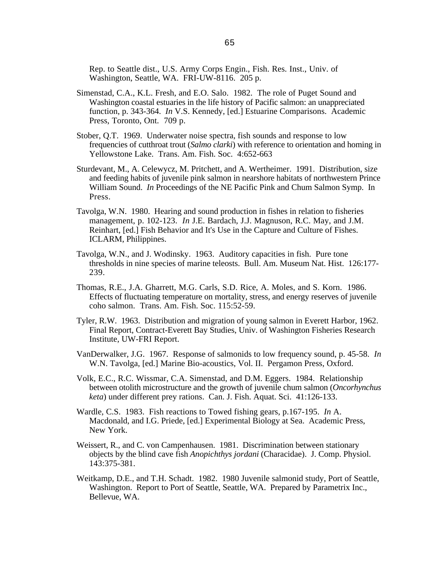Rep. to Seattle dist., U.S. Army Corps Engin., Fish. Res. Inst., Univ. of Washington, Seattle, WA. FRI-UW-8116. 205 p.

- Simenstad, C.A., K.L. Fresh, and E.O. Salo. 1982. The role of Puget Sound and Washington coastal estuaries in the life history of Pacific salmon: an unappreciated function, p. 343-364. *In* V.S. Kennedy, [ed.] Estuarine Comparisons. Academic Press, Toronto, Ont. 709 p.
- Stober, Q.T. 1969. Underwater noise spectra, fish sounds and response to low frequencies of cutthroat trout (*Salmo clarki*) with reference to orientation and homing in Yellowstone Lake. Trans. Am. Fish. Soc. 4:652-663
- Sturdevant, M., A. Celewycz, M. Pritchett, and A. Wertheimer. 1991. Distribution, size and feeding habits of juvenile pink salmon in nearshore habitats of northwestern Prince William Sound. *In* Proceedings of the NE Pacific Pink and Chum Salmon Symp. In Press.
- Tavolga, W.N. 1980. Hearing and sound production in fishes in relation to fisheries management, p. 102-123. *In* J.E. Bardach, J.J. Magnuson, R.C. May, and J.M. Reinhart, [ed.] Fish Behavior and It's Use in the Capture and Culture of Fishes. ICLARM, Philippines.
- Tavolga, W.N., and J. Wodinsky. 1963. Auditory capacities in fish. Pure tone thresholds in nine species of marine teleosts. Bull. Am. Museum Nat. Hist. 126:177- 239.
- Thomas, R.E., J.A. Gharrett, M.G. Carls, S.D. Rice, A. Moles, and S. Korn. 1986. Effects of fluctuating temperature on mortality, stress, and energy reserves of juvenile coho salmon. Trans. Am. Fish. Soc. 115:52-59.
- Tyler, R.W. 1963. Distribution and migration of young salmon in Everett Harbor, 1962. Final Report, Contract-Everett Bay Studies, Univ. of Washington Fisheries Research Institute, UW-FRI Report.
- VanDerwalker, J.G. 1967. Response of salmonids to low frequency sound, p. 45-58. *In* W.N. Tavolga, [ed.] Marine Bio-acoustics, Vol. II. Pergamon Press, Oxford.
- Volk, E.C., R.C. Wissmar, C.A. Simenstad, and D.M. Eggers. 1984. Relationship between otolith microstructure and the growth of juvenile chum salmon (*Oncorhynchus keta*) under different prey rations. Can. J. Fish. Aquat. Sci. 41:126-133.
- Wardle, C.S. 1983. Fish reactions to Towed fishing gears, p.167-195. *In* A. Macdonald, and I.G. Priede, [ed.] Experimental Biology at Sea. Academic Press, New York.
- Weissert, R., and C. von Campenhausen. 1981. Discrimination between stationary objects by the blind cave fish *Anopichthys jordani* (Characidae). J. Comp. Physiol. 143:375-381.
- Weitkamp, D.E., and T.H. Schadt. 1982. 1980 Juvenile salmonid study, Port of Seattle, Washington. Report to Port of Seattle, Seattle, WA. Prepared by Parametrix Inc., Bellevue, WA.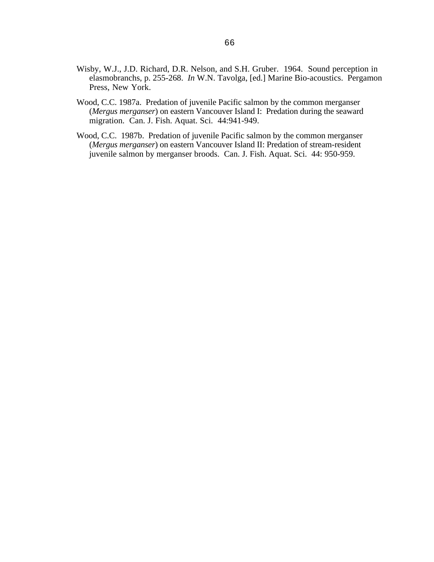- Wisby, W.J., J.D. Richard, D.R. Nelson, and S.H. Gruber. 1964. Sound perception in elasmobranchs, p. 255-268. *In* W.N. Tavolga, [ed.] Marine Bio-acoustics. Pergamon Press, New York.
- Wood, C.C. 1987a. Predation of juvenile Pacific salmon by the common merganser (*Mergus merganser*) on eastern Vancouver Island I: Predation during the seaward migration. Can. J. Fish. Aquat. Sci. 44:941-949.
- Wood, C.C. 1987b. Predation of juvenile Pacific salmon by the common merganser (*Mergus merganser*) on eastern Vancouver Island II: Predation of stream-resident juvenile salmon by merganser broods. Can. J. Fish. Aquat. Sci. 44: 950-959.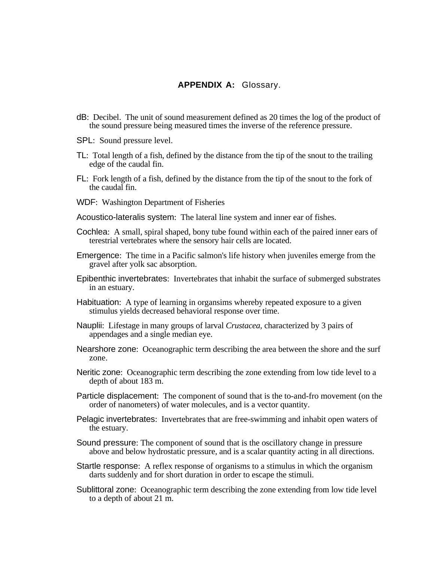## **APPENDIX A:** Glossary.

- dB: Decibel. The unit of sound measurement defined as 20 times the log of the product of the sound pressure being measured times the inverse of the reference pressure.
- SPL: Sound pressure level.
- TL: Total length of a fish, defined by the distance from the tip of the snout to the trailing edge of the caudal fin.
- FL: Fork length of a fish, defined by the distance from the tip of the snout to the fork of the caudal fin.
- WDF: Washington Department of Fisheries
- Acoustico-lateralis system: The lateral line system and inner ear of fishes.
- Cochlea: A small, spiral shaped, bony tube found within each of the paired inner ears of terestrial vertebrates where the sensory hair cells are located.
- Emergence: The time in a Pacific salmon's life history when juveniles emerge from the gravel after yolk sac absorption.
- Epibenthic invertebrates: Invertebrates that inhabit the surface of submerged substrates in an estuary.
- Habituation: A type of learning in organsims whereby repeated exposure to a given stimulus yields decreased behavioral response over time.
- Nauplii: Lifestage in many groups of larval *Crustacea*, characterized by 3 pairs of appendages and a single median eye.
- Nearshore zone: Oceanographic term describing the area between the shore and the surf zone.
- Neritic zone: Oceanographic term describing the zone extending from low tide level to a depth of about 183 m.
- Particle displacement: The component of sound that is the to-and-fro movement (on the order of nanometers) of water molecules, and is a vector quantity.
- Pelagic invertebrates: Invertebrates that are free-swimming and inhabit open waters of the estuary.
- Sound pressure: The component of sound that is the oscillatory change in pressure above and below hydrostatic pressure, and is a scalar quantity acting in all directions.
- Startle response: A reflex response of organisms to a stimulus in which the organism darts suddenly and for short duration in order to escape the stimuli.
- Sublittoral zone: Oceanographic term describing the zone extending from low tide level to a depth of about 21 m.